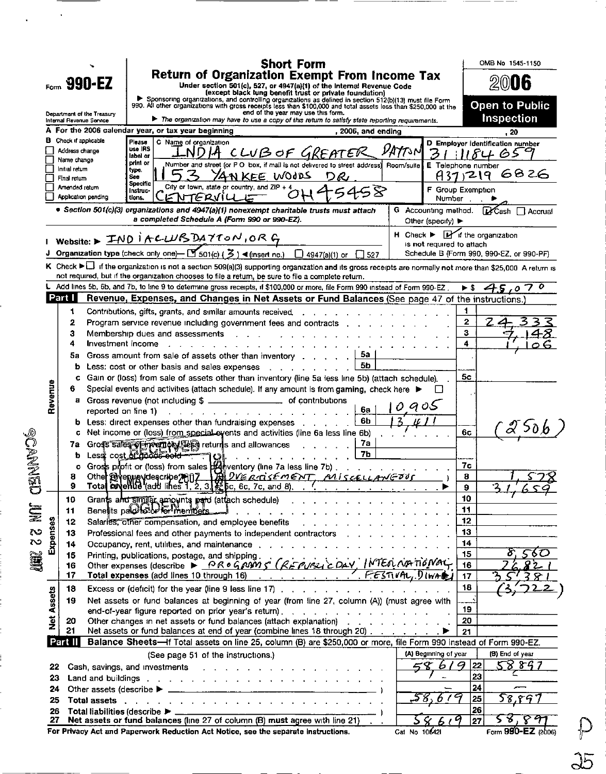|                |                   | Internal Revenue Service              | $F_{\text{com}}$ 990-EZ<br>Department of the Treasury                                                                                                                                                                          |                     |                        |                                          |                                             | <b>Short Form</b>                            | Return of Organization Exempt From Income Tax<br>Under section 501(c), 527, or 4947(a)(1) of the Internal Revenue Code<br>(except black lung benefit trust or private foundation)<br>Sponsoring organizations, and controlling organizations as defined in section 512(b)(13) must file Form<br>990. All other organizations with gross receipts less than \$100,000 and total assets less than \$250,000 at the<br>end of the year may use this form.<br>The organization may have to use a copy of this return to satisfy state reporting requirements. |                    |               |                                                                                      |                |        | OMB No 1545-1150<br><b>Open to Public</b><br><b>Inspection</b> |  |
|----------------|-------------------|---------------------------------------|--------------------------------------------------------------------------------------------------------------------------------------------------------------------------------------------------------------------------------|---------------------|------------------------|------------------------------------------|---------------------------------------------|----------------------------------------------|-----------------------------------------------------------------------------------------------------------------------------------------------------------------------------------------------------------------------------------------------------------------------------------------------------------------------------------------------------------------------------------------------------------------------------------------------------------------------------------------------------------------------------------------------------------|--------------------|---------------|--------------------------------------------------------------------------------------|----------------|--------|----------------------------------------------------------------|--|
|                |                   |                                       | A For the 2006 calendar year, or tax year beginning                                                                                                                                                                            |                     |                        |                                          |                                             |                                              |                                                                                                                                                                                                                                                                                                                                                                                                                                                                                                                                                           | , 2006, and ending |               |                                                                                      |                |        | . 20                                                           |  |
|                |                   | Check if applicable                   |                                                                                                                                                                                                                                | Please              | C Name of organization |                                          |                                             |                                              |                                                                                                                                                                                                                                                                                                                                                                                                                                                                                                                                                           |                    |               | D Employer identification number                                                     |                |        |                                                                |  |
|                |                   | Address change                        |                                                                                                                                                                                                                                | use IRS<br>label or |                        | ND <i>IA</i> -                           |                                             |                                              | CLUB OF GREATER                                                                                                                                                                                                                                                                                                                                                                                                                                                                                                                                           |                    |               |                                                                                      |                | 118465 |                                                                |  |
|                |                   | Name change<br>Initial return         |                                                                                                                                                                                                                                | print or<br>type.   |                        |                                          |                                             |                                              | Number and street (or P O box, if mail is not delivered to street address)                                                                                                                                                                                                                                                                                                                                                                                                                                                                                |                    | Room/suite    | E Telephone number                                                                   |                |        |                                                                |  |
|                |                   | Final return                          |                                                                                                                                                                                                                                | See<br>Specific     |                        |                                          |                                             | YANKEE WOODS                                 | りん                                                                                                                                                                                                                                                                                                                                                                                                                                                                                                                                                        |                    |               |                                                                                      | 437,219        |        | 6826                                                           |  |
|                |                   | Amended return<br>Application pending |                                                                                                                                                                                                                                | Instruc-<br>tions.  | ENTERVILL              |                                          | City or town, state or country, and ZIP + 4 |                                              |                                                                                                                                                                                                                                                                                                                                                                                                                                                                                                                                                           |                    |               | F Group Exemption<br>Number.                                                         |                |        |                                                                |  |
|                |                   |                                       | · Section 501(c)(3) organizations and 4947(a)(1) nonexempt charitable trusts must attach                                                                                                                                       |                     |                        |                                          |                                             | a completed Schedule A (Form 990 or 990-EZ). |                                                                                                                                                                                                                                                                                                                                                                                                                                                                                                                                                           |                    |               | G Accounting method.<br>Other (specify) $\blacktriangleright$                        |                |        | <b>D</b> Cash □ Accrual                                        |  |
|                |                   |                                       | Website: > IND I ACLUB DAYTON, ORG                                                                                                                                                                                             |                     |                        |                                          |                                             |                                              |                                                                                                                                                                                                                                                                                                                                                                                                                                                                                                                                                           |                    |               | $H$ Check $\blacktriangleright$ $H$ if the organization<br>is not required to attach |                |        |                                                                |  |
|                |                   |                                       | J Organization type (check only one)— $[\mathbb{Y}_5$ 01(c) ( $\mathbb{Z}$ ) < (insert no.) $\Box$ 4947(a)(1) or $\Box$ 527                                                                                                    |                     |                        |                                          |                                             |                                              |                                                                                                                                                                                                                                                                                                                                                                                                                                                                                                                                                           |                    |               | Schedule B (Form 990, 990-EZ, or 990-PF)                                             |                |        |                                                                |  |
|                |                   |                                       | K Check $\blacktriangleright\Box$ if the organization is not a section 509(a)(3) supporting organization and its gross receipts are normally not more than \$25,000 A return is                                                |                     |                        |                                          |                                             |                                              |                                                                                                                                                                                                                                                                                                                                                                                                                                                                                                                                                           |                    |               |                                                                                      |                |        |                                                                |  |
|                |                   |                                       | not required, but if the organization chooses to file a return, be sure to file a complete return.                                                                                                                             |                     |                        |                                          |                                             |                                              |                                                                                                                                                                                                                                                                                                                                                                                                                                                                                                                                                           |                    |               |                                                                                      |                |        |                                                                |  |
|                |                   |                                       | L Add lines 5b, 6b, and 7b, to line 9 to determine gross receipts, if \$100,000 or more, file Form 990 instead of Form 990-EZ.                                                                                                 |                     |                        |                                          |                                             |                                              |                                                                                                                                                                                                                                                                                                                                                                                                                                                                                                                                                           |                    |               |                                                                                      |                |        |                                                                |  |
|                |                   | Part I                                |                                                                                                                                                                                                                                |                     |                        |                                          |                                             |                                              | Revenue, Expenses, and Changes in Net Assets or Fund Balances (See page 47 of the instructions.)                                                                                                                                                                                                                                                                                                                                                                                                                                                          |                    |               |                                                                                      |                |        |                                                                |  |
|                |                   | 1<br>2                                | Contributions, gifts, grants, and similar amounts received.                                                                                                                                                                    |                     |                        |                                          |                                             |                                              | and a straight and a straight and a straight                                                                                                                                                                                                                                                                                                                                                                                                                                                                                                              |                    |               |                                                                                      | 1<br>2         |        |                                                                |  |
|                |                   | з                                     |                                                                                                                                                                                                                                |                     |                        |                                          |                                             |                                              | Program service revenue including government fees and contracts<br>Membership dues and assessments and a series and a series and a series and a series are a series of the series                                                                                                                                                                                                                                                                                                                                                                         |                    |               | $\sim$                                                                               | з              |        |                                                                |  |
|                |                   | 4                                     | Investment income                                                                                                                                                                                                              |                     |                        | the contract of the contract of the con- |                                             |                                              |                                                                                                                                                                                                                                                                                                                                                                                                                                                                                                                                                           |                    |               |                                                                                      |                |        |                                                                |  |
|                |                   | 5а                                    | Gross amount from sale of assets other than inventory $\blacksquare$ , , , , , , ,                                                                                                                                             |                     |                        |                                          |                                             |                                              |                                                                                                                                                                                                                                                                                                                                                                                                                                                                                                                                                           | 5a                 |               |                                                                                      |                |        |                                                                |  |
|                |                   | ь                                     | Less: cost or other basis and sales expenses                                                                                                                                                                                   |                     |                        |                                          |                                             |                                              |                                                                                                                                                                                                                                                                                                                                                                                                                                                                                                                                                           | 56                 |               |                                                                                      |                |        |                                                                |  |
|                |                   | c                                     | Gain or (loss) from sale of assets other than inventory (line 5a less line 5b) (attach schedule).                                                                                                                              |                     |                        |                                          |                                             |                                              |                                                                                                                                                                                                                                                                                                                                                                                                                                                                                                                                                           |                    |               |                                                                                      | 5 <sub>c</sub> |        |                                                                |  |
|                | Revenue           | 6                                     |                                                                                                                                                                                                                                |                     |                        |                                          |                                             |                                              | Special events and activities (attach schedule). If any amount is from gaming, check here ▶                                                                                                                                                                                                                                                                                                                                                                                                                                                               |                    |               |                                                                                      |                |        |                                                                |  |
|                |                   |                                       | a Gross revenue (not including \$ _________________ of contributions                                                                                                                                                           |                     |                        |                                          |                                             |                                              |                                                                                                                                                                                                                                                                                                                                                                                                                                                                                                                                                           |                    | o aos         |                                                                                      |                |        |                                                                |  |
|                |                   |                                       | reported on line 1)                                                                                                                                                                                                            |                     |                        |                                          |                                             |                                              |                                                                                                                                                                                                                                                                                                                                                                                                                                                                                                                                                           | 6а<br>6 <b>b</b>   |               |                                                                                      |                |        |                                                                |  |
|                |                   | c                                     | Less: direct expenses other than fundraising expenses<br>Net income or (loss) from special events and activities (line 6a less line 6b)                                                                                        |                     |                        |                                          |                                             |                                              |                                                                                                                                                                                                                                                                                                                                                                                                                                                                                                                                                           |                    |               |                                                                                      | 6с             |        |                                                                |  |
|                |                   | 7a                                    |                                                                                                                                                                                                                                |                     |                        |                                          |                                             |                                              | Grofs sales of the emphasis returns and allowances                                                                                                                                                                                                                                                                                                                                                                                                                                                                                                        | 7a                 |               |                                                                                      |                |        |                                                                |  |
|                |                   | b                                     | Less cost of pools sold                                                                                                                                                                                                        |                     |                        | IOI.                                     |                                             | the contract of the contract of the          |                                                                                                                                                                                                                                                                                                                                                                                                                                                                                                                                                           | <b>7b</b>          |               |                                                                                      |                |        |                                                                |  |
|                |                   | c                                     | Gross profit or (loss) from sales proventory (line 7a less line 7b).                                                                                                                                                           |                     |                        |                                          |                                             |                                              |                                                                                                                                                                                                                                                                                                                                                                                                                                                                                                                                                           |                    |               |                                                                                      | 7c             |        |                                                                |  |
| <b>CENNED®</b> |                   | 8                                     |                                                                                                                                                                                                                                |                     |                        |                                          |                                             |                                              | Other Perenyery degcribe 2007 179 2VERTISEMENT, MISCELLANGOUS                                                                                                                                                                                                                                                                                                                                                                                                                                                                                             |                    |               |                                                                                      | 8              |        |                                                                |  |
|                |                   | 9                                     | Total coverible (add lines 1, 2, 3, K bc, 6c, 7c, and 8).                                                                                                                                                                      |                     |                        |                                          |                                             |                                              |                                                                                                                                                                                                                                                                                                                                                                                                                                                                                                                                                           |                    |               |                                                                                      | 9              | ۰2     |                                                                |  |
|                |                   | 10                                    |                                                                                                                                                                                                                                |                     |                        |                                          |                                             |                                              | Grants and similar amounts paid (attach schedule) and a series of the series of the series of the series of the series of the series of the series of the series of the series of the series of the series of the series of th                                                                                                                                                                                                                                                                                                                            |                    |               |                                                                                      | 10             |        |                                                                |  |
| <b>NE</b>      |                   | 11                                    |                                                                                                                                                                                                                                |                     |                        |                                          |                                             |                                              | Benetits palot by Fort members and with the contract of the contract of the contract of the contract of the contract of the contract of the contract of the contract of the contract of the contract of the contract of the co                                                                                                                                                                                                                                                                                                                            |                    |               |                                                                                      | 11             |        |                                                                |  |
|                | Expenses          | 12                                    |                                                                                                                                                                                                                                |                     |                        |                                          |                                             |                                              | Salaries, other compensation, and employee benefits and a series of the series of the series of the series of the series of the series of the series of the series of the series of the series of the series of the series of                                                                                                                                                                                                                                                                                                                             |                    |               |                                                                                      | 12<br>13       |        |                                                                |  |
| S<br>S         |                   | 13<br>14                              |                                                                                                                                                                                                                                |                     |                        |                                          |                                             |                                              | Professional fees and other payments to independent contractors with a contractor of the contractors of the contractors of the contractors of the contractors of the contractors of the contractors of the contractors of the<br>Occupancy, rent, utilities, and maintenance                                                                                                                                                                                                                                                                              |                    |               |                                                                                      | 14             |        |                                                                |  |
|                |                   | 15                                    | Printing, publications, postage, and shipping.                                                                                                                                                                                 |                     |                        |                                          |                                             |                                              |                                                                                                                                                                                                                                                                                                                                                                                                                                                                                                                                                           |                    |               |                                                                                      | 15             |        |                                                                |  |
| <b>JAN</b>     |                   | 16                                    |                                                                                                                                                                                                                                |                     |                        |                                          |                                             |                                              | Printing, publications, postage, and shipping.<br>Other expenses (describe $\triangleright$ <u>PR o G pam 5 (RE PUSZI C DAY</u> , INTEO NATIONAL,                                                                                                                                                                                                                                                                                                                                                                                                         |                    |               |                                                                                      | 16             |        |                                                                |  |
|                |                   | 17                                    | Total expenses (add lines 10 through 16)                                                                                                                                                                                       |                     |                        |                                          |                                             |                                              | FESTIVAL, DIWAL                                                                                                                                                                                                                                                                                                                                                                                                                                                                                                                                           |                    |               |                                                                                      | 17             |        |                                                                |  |
|                |                   | 18                                    |                                                                                                                                                                                                                                |                     |                        |                                          |                                             |                                              | Excess or (deficit) for the year (line 9 less line 17)                                                                                                                                                                                                                                                                                                                                                                                                                                                                                                    |                    |               |                                                                                      | 18             |        |                                                                |  |
|                | <b>Net Assets</b> | 19                                    |                                                                                                                                                                                                                                |                     |                        |                                          |                                             |                                              | Net assets or fund balances at beginning of year (from line 27, column (A)) (must agree with                                                                                                                                                                                                                                                                                                                                                                                                                                                              |                    |               |                                                                                      |                |        |                                                                |  |
|                |                   |                                       |                                                                                                                                                                                                                                |                     |                        |                                          |                                             |                                              | end-of-year figure reported on prior year's return).                                                                                                                                                                                                                                                                                                                                                                                                                                                                                                      |                    |               |                                                                                      | 19             |        |                                                                |  |
|                |                   | 20<br>21                              |                                                                                                                                                                                                                                |                     |                        |                                          |                                             |                                              | Other changes in net assets or fund balances (attach explanation)<br>Net assets or fund balances at end of year (combine lines 18 through 20)                                                                                                                                                                                                                                                                                                                                                                                                             |                    |               |                                                                                      | 20<br>21       |        |                                                                |  |
|                |                   | Part II                               |                                                                                                                                                                                                                                |                     |                        |                                          |                                             |                                              | Balance Sheets-If Total assets on line 25, column (B) are \$250,000 or more, file Form 990 instead of Form 990-EZ.                                                                                                                                                                                                                                                                                                                                                                                                                                        |                    |               |                                                                                      |                |        |                                                                |  |
|                |                   |                                       |                                                                                                                                                                                                                                |                     |                        |                                          | (See page 51 of the instructions.)          |                                              |                                                                                                                                                                                                                                                                                                                                                                                                                                                                                                                                                           |                    |               | (A) Beginning of year                                                                |                |        | (B) End of year                                                |  |
|                | 22                |                                       | Cash, savings, and investments and all and a subset of the state of the state of the state of the state of the                                                                                                                 |                     |                        |                                          |                                             |                                              |                                                                                                                                                                                                                                                                                                                                                                                                                                                                                                                                                           |                    |               | ≍ ଫ<br>61                                                                            | 22<br>9        |        | 58897                                                          |  |
|                | 23                |                                       | Land and buildings with a contract of the contract of the contract of the contract of the contract of the contract of the contract of the contract of the contract of the contract of the contract of the contract of the cont |                     |                        |                                          |                                             |                                              |                                                                                                                                                                                                                                                                                                                                                                                                                                                                                                                                                           |                    |               |                                                                                      | 23             |        |                                                                |  |
|                | 24                |                                       |                                                                                                                                                                                                                                |                     |                        |                                          |                                             |                                              |                                                                                                                                                                                                                                                                                                                                                                                                                                                                                                                                                           |                    |               |                                                                                      | 24             |        |                                                                |  |
|                | 25                |                                       | Total assets in the contract of the contract of the contract of the contract of the contract of the contract of the contract of the contract of the contract of the contract of the contract of the contract of the contract o |                     |                        |                                          |                                             |                                              |                                                                                                                                                                                                                                                                                                                                                                                                                                                                                                                                                           |                    |               |                                                                                      | 25             |        | 58.89                                                          |  |
|                | 26                |                                       |                                                                                                                                                                                                                                |                     |                        |                                          |                                             |                                              |                                                                                                                                                                                                                                                                                                                                                                                                                                                                                                                                                           |                    |               |                                                                                      | 26             |        |                                                                |  |
|                | 27                |                                       | Net assets or fund balances (line 27 of column (B) must agree with line 21)<br>For Privacy Act and Paperwork Reduction Act Notice, see the separate instructions.                                                              |                     |                        |                                          |                                             |                                              |                                                                                                                                                                                                                                                                                                                                                                                                                                                                                                                                                           |                    | Cat No 106421 |                                                                                      | 27             | 58,    | Form 990-EZ (2006)                                             |  |
|                |                   |                                       |                                                                                                                                                                                                                                |                     |                        |                                          |                                             |                                              |                                                                                                                                                                                                                                                                                                                                                                                                                                                                                                                                                           |                    |               |                                                                                      |                |        |                                                                |  |

 $\ddot{\phantom{0}}$ 

| ٢ |
|---|
|   |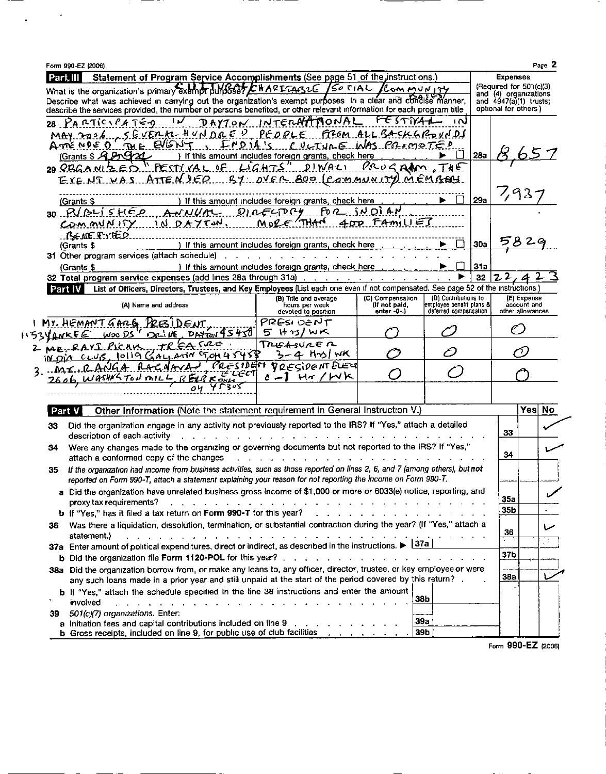|                                                               | Page 2<br>Form 990-EZ (2006)                                                                                                                                                                                                                                      |                                                                                                                      |                                                            |                                                   |            |                                                  |                            |             |  |
|---------------------------------------------------------------|-------------------------------------------------------------------------------------------------------------------------------------------------------------------------------------------------------------------------------------------------------------------|----------------------------------------------------------------------------------------------------------------------|------------------------------------------------------------|---------------------------------------------------|------------|--------------------------------------------------|----------------------------|-------------|--|
| PartIII                                                       | Statement of Program Service Accomplishments (See page 51 of the instructions.)                                                                                                                                                                                   |                                                                                                                      |                                                            |                                                   |            | <b>Expenses</b>                                  |                            |             |  |
|                                                               | What is the organization's primary exempt purposer EHARITAGLE /So CIAL /Com MUNITY                                                                                                                                                                                |                                                                                                                      |                                                            |                                                   |            | (Required for 501(c)(3)<br>and (4) organizations |                            |             |  |
|                                                               | Describe what was achieved in carrying out the organization's exempt purboses In a clear and concise manner.                                                                                                                                                      |                                                                                                                      |                                                            |                                                   |            | and $4947(a)(1)$ trusts;<br>optional for others) |                            |             |  |
|                                                               | describe the services provided, the number of persons benefited, or other relevant information for each program title                                                                                                                                             |                                                                                                                      | ともていい                                                      | സ                                                 |            |                                                  |                            |             |  |
|                                                               | PARTICIPATED                                                                                                                                                                                                                                                      | DAYTON INTERNATIONAL                                                                                                 |                                                            |                                                   |            |                                                  |                            |             |  |
|                                                               | SEVERK HUNDRED PEOPLE FROM ALL BACKGROUND<br>MAP.P266<br><b>ME EVENT</b>                                                                                                                                                                                          |                                                                                                                      |                                                            |                                                   |            |                                                  |                            |             |  |
|                                                               | , <i><b>Froit's</b></i><br>ልተነጅ MDE 0<br>Grants \$ A 200 Stat                                                                                                                                                                                                     | CULTULE WAS PRIMOTED<br>) If this amount includes foreign grants, check here                                         |                                                            | $\Box$                                            | 28a        |                                                  |                            |             |  |
|                                                               | PESTIVAL OF LIGHTS" DIWALI PROGRAM THE                                                                                                                                                                                                                            |                                                                                                                      |                                                            |                                                   |            |                                                  |                            |             |  |
|                                                               | $29$ CRGANIZEQ.<br>EXENT VAS ATTEN DER BY OVER 800 (COMMUNITY) MEMBERS                                                                                                                                                                                            |                                                                                                                      |                                                            |                                                   |            |                                                  |                            |             |  |
|                                                               |                                                                                                                                                                                                                                                                   |                                                                                                                      |                                                            |                                                   |            |                                                  |                            |             |  |
|                                                               | (Grants \$                                                                                                                                                                                                                                                        | ) If this amount includes foreign grants, check here                                                                 |                                                            | П                                                 | 29a        |                                                  | 7,937                      |             |  |
|                                                               | 30. P(2455 HE)<br>ANNUAL                                                                                                                                                                                                                                          | <u>ይሆን የተማር አ</u><br>Fo a                                                                                            | SN OI AN                                                   |                                                   |            |                                                  |                            |             |  |
| <u>MORE (THAN</u><br>$402.79$ $H2$<br>DA75M<br>$commumny$ $N$ |                                                                                                                                                                                                                                                                   |                                                                                                                      |                                                            |                                                   |            |                                                  |                            |             |  |
|                                                               | <u>. ይፍልፍ የነገE 2</u>                                                                                                                                                                                                                                              |                                                                                                                      |                                                            |                                                   |            |                                                  |                            |             |  |
|                                                               | (Grants \$                                                                                                                                                                                                                                                        | If this amount includes foreign grants, check here                                                                   |                                                            |                                                   | <b>30a</b> |                                                  |                            |             |  |
|                                                               | 31 Other program services (attach schedule)                                                                                                                                                                                                                       |                                                                                                                      |                                                            |                                                   |            |                                                  |                            |             |  |
|                                                               | (Grants \$                                                                                                                                                                                                                                                        | ) If this amount includes foreign grants, check here                                                                 |                                                            | Г                                                 | 31a        |                                                  |                            |             |  |
|                                                               | 32 Total program service expenses (add lines 28a through 31a)                                                                                                                                                                                                     | and a state of the state of the state of                                                                             |                                                            |                                                   | 32         | Z L,                                             |                            |             |  |
|                                                               | Part IV List of Officers, Directors, Trustees, and Key Employees (List each one even if not compensated. See page 52 of the instructions                                                                                                                          |                                                                                                                      |                                                            |                                                   |            |                                                  |                            |             |  |
|                                                               | (A) Name and address                                                                                                                                                                                                                                              | (B) Title and average<br>hours per week                                                                              | (C) Compensation<br>(If not paid,                          | (D) Contributions to<br>emplovee benefit plans &l |            |                                                  | (E) Expense<br>account and |             |  |
|                                                               |                                                                                                                                                                                                                                                                   | devoted to position                                                                                                  | enter -0-.)                                                | deferred compensation                             |            | other allowances                                 |                            |             |  |
|                                                               | MY. HEMANT GARG                                                                                                                                                                                                                                                   | PRESI DENT                                                                                                           |                                                            |                                                   |            |                                                  |                            |             |  |
|                                                               | OL NE                                                                                                                                                                                                                                                             |                                                                                                                      | $D$ Azim $45450$<br>5 けっりん<br>WOO DS<br><b>1153 YANKEE</b> |                                                   |            |                                                  |                            |             |  |
| <b>CASRO</b><br>TREABURE R<br>2 ME-RAYI PICAIS                |                                                                                                                                                                                                                                                                   |                                                                                                                      |                                                            |                                                   |            |                                                  |                            |             |  |
|                                                               |                                                                                                                                                                                                                                                                   |                                                                                                                      |                                                            |                                                   |            |                                                  |                            |             |  |
|                                                               | IN DIA CLUB, 10119 GALLATIN CT, OH 4545B                                                                                                                                                                                                                          | 3-4 Hns I WK                                                                                                         |                                                            |                                                   |            |                                                  |                            |             |  |
|                                                               | しんこく ロムレー<br>3.195.0416A                                                                                                                                                                                                                                          | <b>PRESIDENTELEY</b>                                                                                                 |                                                            |                                                   |            |                                                  |                            |             |  |
|                                                               | 2606 WASHIGTON MILL                                                                                                                                                                                                                                               | o - I Hr/WK                                                                                                          |                                                            |                                                   |            |                                                  |                            |             |  |
|                                                               |                                                                                                                                                                                                                                                                   |                                                                                                                      |                                                            |                                                   |            |                                                  |                            |             |  |
|                                                               | Other Information (Note the statement requirement in General Instruction V.)<br>Part V                                                                                                                                                                            |                                                                                                                      |                                                            |                                                   |            |                                                  | Yes                        |             |  |
|                                                               |                                                                                                                                                                                                                                                                   |                                                                                                                      |                                                            |                                                   |            |                                                  |                            |             |  |
| 33                                                            | Did the organization engage in any activity not previously reported to the IRS? If "Yes," attach a detailed<br>description of each activity                                                                                                                       |                                                                                                                      |                                                            |                                                   |            | 33                                               |                            |             |  |
| 34                                                            |                                                                                                                                                                                                                                                                   |                                                                                                                      |                                                            |                                                   |            |                                                  |                            |             |  |
|                                                               | Were any changes made to the organizing or governing documents but not reported to the IRS? If "Yes,"<br>attach a conformed copy of the changes                                                                                                                   |                                                                                                                      |                                                            |                                                   |            | 34                                               |                            |             |  |
| 35.                                                           | If the organization had income from business activities, such as those reported on lines 2, 6, and 7 (among others), but not                                                                                                                                      |                                                                                                                      |                                                            |                                                   |            |                                                  |                            |             |  |
|                                                               | reported on Form 990-T, attach a statement explaining your reason for not reporting the income on Form 990-T.                                                                                                                                                     |                                                                                                                      |                                                            |                                                   |            |                                                  |                            |             |  |
|                                                               | a Did the organization have unrelated business gross income of \$1,000 or more or 6033(e) notice, reporting, and                                                                                                                                                  |                                                                                                                      |                                                            |                                                   |            |                                                  |                            |             |  |
|                                                               | proxy tax requirements?                                                                                                                                                                                                                                           | والتعاليف المتالية العالية المتالية المتالية المتالية المتالية المتالية المتالية المتالية المتالية المتالية المتالية |                                                            |                                                   |            | 35a                                              |                            |             |  |
|                                                               | b If "Yes," has it filed a tax return on Form 990-T for this year?                                                                                                                                                                                                |                                                                                                                      | de la companya de la companya de la companya de            |                                                   |            | 35 <sub>b</sub>                                  |                            |             |  |
| 36                                                            | Was there a liquidation, dissolution, termination, or substantial contraction during the year? (If "Yes," attach a                                                                                                                                                |                                                                                                                      |                                                            |                                                   |            |                                                  |                            |             |  |
|                                                               | statement.)<br>الحارية والحرية والحرية والمحارف الحارثة والحارثة والمحارب والمحارب والمحارب والمحارب والمحارب والمحارب والمحارب                                                                                                                                   |                                                                                                                      |                                                            |                                                   |            | 36                                               |                            |             |  |
|                                                               | 37a Enter amount of political expenditures, direct or indirect, as described in the instructions. $\blacktriangleright$ $\lfloor 37a \rfloor$                                                                                                                     |                                                                                                                      |                                                            |                                                   |            |                                                  |                            |             |  |
|                                                               |                                                                                                                                                                                                                                                                   |                                                                                                                      |                                                            |                                                   |            | 37 <sub>b</sub>                                  |                            |             |  |
|                                                               | 38a Did the organization borrow from, or make any loans to, any officer, director, trustee, or key employee or were                                                                                                                                               |                                                                                                                      |                                                            |                                                   |            |                                                  |                            |             |  |
|                                                               | any such loans made in a prior year and still unpaid at the start of the period covered by this return?.                                                                                                                                                          |                                                                                                                      |                                                            |                                                   |            | 38a                                              |                            |             |  |
|                                                               | b If "Yes," attach the schedule specified in the line 38 instructions and enter the amount                                                                                                                                                                        |                                                                                                                      |                                                            |                                                   |            |                                                  |                            |             |  |
|                                                               | المعارف والمستحدث والمستحدث والمستحدث والمستحدث والمستحدث والمستحدث والمستحدث<br>involved                                                                                                                                                                         |                                                                                                                      | 38b                                                        |                                                   |            |                                                  |                            |             |  |
| 39                                                            | 501(c)(7) organizations. Enter:<br>a Initiation fees and capital contributions included on line 9 (a) and a contact the state of the line of the state of the state of the state of the state of the state of the state of the state of the state of the state of |                                                                                                                      | 39a                                                        |                                                   |            |                                                  |                            | No<br>j Pol |  |

 $-- -$ 

 $\Delta \phi = 0.5$ 

 $\cdot$   $-$ 

----

Form 990-EZ (2006)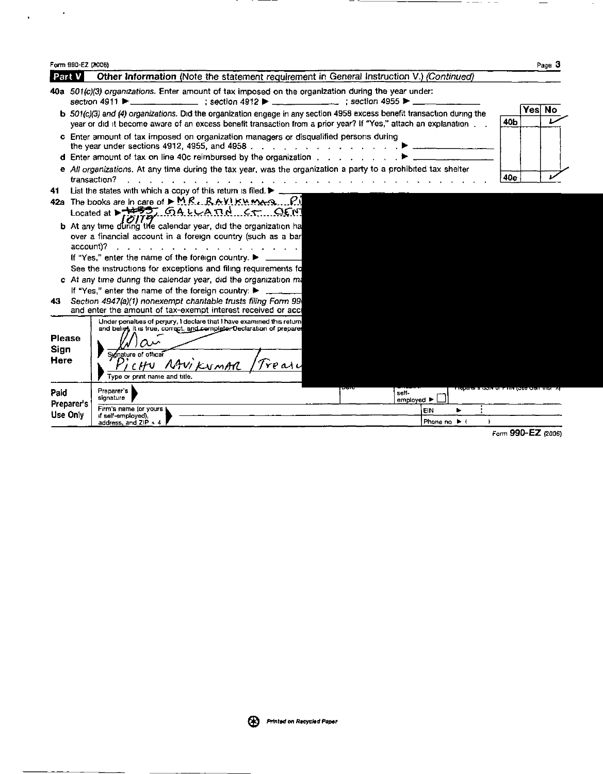|                               | Form 990-EZ (3006)                                                                                                                                                                                                                                                                                                                                                                                                                                                                                                                                                                   |                                                                                                                                                                                                                                                           |                    |      | Page 3    |  |  |  |
|-------------------------------|--------------------------------------------------------------------------------------------------------------------------------------------------------------------------------------------------------------------------------------------------------------------------------------------------------------------------------------------------------------------------------------------------------------------------------------------------------------------------------------------------------------------------------------------------------------------------------------|-----------------------------------------------------------------------------------------------------------------------------------------------------------------------------------------------------------------------------------------------------------|--------------------|------|-----------|--|--|--|
| Part V                        |                                                                                                                                                                                                                                                                                                                                                                                                                                                                                                                                                                                      | Other Information (Note the statement requirement in General Instruction V.) (Continued)                                                                                                                                                                  |                    |      |           |  |  |  |
|                               |                                                                                                                                                                                                                                                                                                                                                                                                                                                                                                                                                                                      | 40a 501(c)(3) organizations. Enter amount of tax imposed on the organization during the year under:<br>section 4911 $\blacktriangleright$ ____________________; section 4912 $\blacktriangleright$ ___ ____________; section 4955 $\blacktriangleright$ _ |                    |      |           |  |  |  |
|                               |                                                                                                                                                                                                                                                                                                                                                                                                                                                                                                                                                                                      | b 501(c)(3) and (4) organizations. Did the organization engage in any section 4958 excess benefit transaction during the<br>year or did it become aware of an excess benefit transaction from a prior year? If "Yes," attach an explanation               | 40b                | Yesl | <b>No</b> |  |  |  |
|                               |                                                                                                                                                                                                                                                                                                                                                                                                                                                                                                                                                                                      | c Enter amount of tax imposed on organization managers or disqualified persons during<br>the year under sections 4912, 4955, and 4958 $\ldots$ , $\ldots$ , $\ldots$ , $\ldots$ , $\ldots$                                                                |                    |      |           |  |  |  |
|                               |                                                                                                                                                                                                                                                                                                                                                                                                                                                                                                                                                                                      | d Enter amount of tax on line 40c reimbursed by the organization                                                                                                                                                                                          |                    |      |           |  |  |  |
|                               | e All organizations. At any time during the tax year, was the organization a party to a prohibited tax shelter<br>40e<br>transaction?<br>and a strategic and a strategic                                                                                                                                                                                                                                                                                                                                                                                                             |                                                                                                                                                                                                                                                           |                    |      |           |  |  |  |
| 41.                           | List the states with which a copy of this return is filed. $\blacktriangleright$ ___<br>42a The books are in care of $\blacktriangleright$ M.R., RAVIKUMA-3.<br>Located at $\frac{1855}{182}$ GALLARD CT OFM<br><b>b</b> At any time during the calendar year, did the organization ha<br>over a financial account in a foreign country (such as a bar<br>account)?<br>$\frac{1}{2}$ , $\frac{1}{2}$ , $\frac{1}{2}$ , $\frac{1}{2}$ , $\frac{1}{2}$ , $\frac{1}{2}$ , $\frac{1}{2}$ , $\frac{1}{2}$ , $\frac{1}{2}$ , $\frac{1}{2}$ , $\frac{1}{2}$ , $\frac{1}{2}$ , $\frac{1}{2}$ |                                                                                                                                                                                                                                                           |                    |      |           |  |  |  |
|                               |                                                                                                                                                                                                                                                                                                                                                                                                                                                                                                                                                                                      | If "Yes," enter the name of the foreign country. ▶<br>See the instructions for exceptions and filing requirements fo<br>c At any time during the calendar year, did the organization ma                                                                   |                    |      |           |  |  |  |
| 43.                           |                                                                                                                                                                                                                                                                                                                                                                                                                                                                                                                                                                                      | If "Yes," enter the name of the foreign country: ▶<br>Section 4947(a)(1) nonexempt charitable trusts filing Form 99<br>and enter the amount of tax-exempt interest received or acci                                                                       |                    |      |           |  |  |  |
| <b>Please</b><br>Sign<br>Here |                                                                                                                                                                                                                                                                                                                                                                                                                                                                                                                                                                                      | Under penalties of perjury, I declare that I have examined this return<br>and belief, it is true, correct, and complete. Declaration of preparer<br>Sumature of officer<br>MWKWMAR<br>Treasu<br>Type or orint name and title.                             |                    |      |           |  |  |  |
| Paid                          | Preparer's                                                                                                                                                                                                                                                                                                                                                                                                                                                                                                                                                                           | mayard a dom or miningee der<br>Preparer's<br>self-<br>signature<br>employed ▶                                                                                                                                                                            |                    |      |           |  |  |  |
| Use Only                      |                                                                                                                                                                                                                                                                                                                                                                                                                                                                                                                                                                                      | Firm's name (or yours )<br>EIN<br>if self-employed).<br>Phone no ▶ (<br>address, and $ZIP + 4$                                                                                                                                                            |                    |      |           |  |  |  |
|                               |                                                                                                                                                                                                                                                                                                                                                                                                                                                                                                                                                                                      |                                                                                                                                                                                                                                                           | Form 990-EZ (2006) |      |           |  |  |  |

- 1

 $\mathcal{L}^{\text{max}}_{\text{max}}$  and  $\mathcal{L}^{\text{max}}_{\text{max}}$ 

———

— —— ——

 $\overline{\phantom{a}}$ 

 $\overline{\phantom{a}}$ 

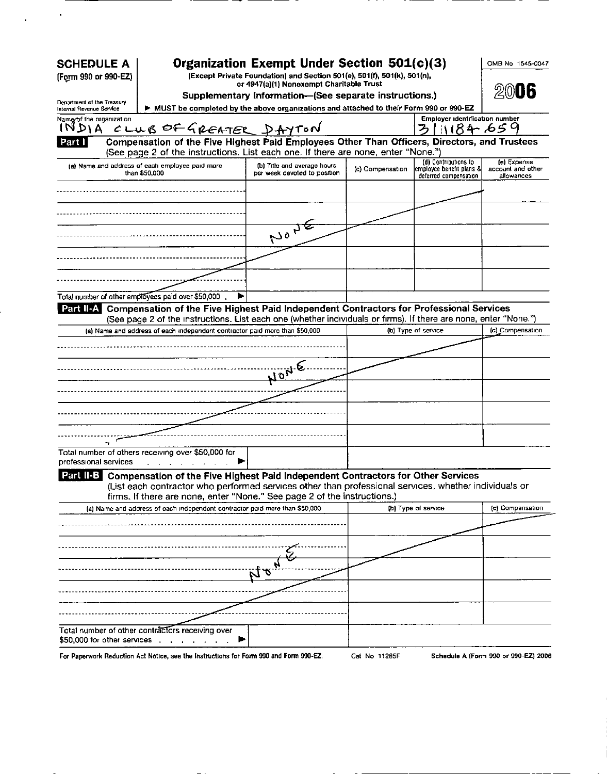| <b>SCHEDULE A</b>                                      |                                                                                                                                                                                                     | Organization Exempt Under Section 501(c)(3)                                                        |                  |                                                                            | OMB No 1545-0047                               |
|--------------------------------------------------------|-----------------------------------------------------------------------------------------------------------------------------------------------------------------------------------------------------|----------------------------------------------------------------------------------------------------|------------------|----------------------------------------------------------------------------|------------------------------------------------|
| (Form 990 or 990-EZ)                                   |                                                                                                                                                                                                     | (Except Private Foundation) and Section 501(e), 501(f), 501(k), 501(n),                            |                  |                                                                            |                                                |
|                                                        |                                                                                                                                                                                                     | or 4947(a)(1) Nonexempt Charitable Trust<br>Supplementary Information-(See separate instructions.) |                  |                                                                            | 20006                                          |
| Department of the Treasury<br>Internal Revenue Service | > MUST be completed by the above organizations and attached to their Form 990 or 990-EZ                                                                                                             |                                                                                                    |                  |                                                                            |                                                |
| Name/of the organization                               |                                                                                                                                                                                                     |                                                                                                    |                  | Employer identification number                                             |                                                |
| 1 N D 1 A                                              | CLUB OF GREATER DAYTON                                                                                                                                                                              |                                                                                                    |                  | <b>ろしい84 659</b>                                                           |                                                |
| Part I                                                 | Compensation of the Five Highest Paid Employees Other Than Officers, Directors, and Trustees<br>(See page 2 of the instructions. List each one. If there are none, enter "None.")                   |                                                                                                    |                  |                                                                            |                                                |
|                                                        | (a) Name and address of each employee paid more<br>than \$50,000                                                                                                                                    | (b) Title and average hours<br>per week devoted to position                                        | (c) Compensation | (d) Contributions to<br>employee benefit plans & <br>deferred compensation | (e) Expense<br>account and other<br>allowances |
|                                                        |                                                                                                                                                                                                     |                                                                                                    |                  |                                                                            |                                                |
|                                                        |                                                                                                                                                                                                     |                                                                                                    |                  |                                                                            |                                                |
|                                                        |                                                                                                                                                                                                     |                                                                                                    |                  |                                                                            |                                                |
|                                                        |                                                                                                                                                                                                     | NONE                                                                                               |                  |                                                                            |                                                |
|                                                        |                                                                                                                                                                                                     |                                                                                                    |                  |                                                                            |                                                |
|                                                        |                                                                                                                                                                                                     |                                                                                                    |                  |                                                                            |                                                |
|                                                        |                                                                                                                                                                                                     |                                                                                                    |                  |                                                                            |                                                |
|                                                        | Total number of other employees paid over \$50,000<br>▶                                                                                                                                             |                                                                                                    |                  |                                                                            |                                                |
| Part II-A                                              | Compensation of the Five Highest Paid Independent Contractors for Professional Services                                                                                                             |                                                                                                    |                  |                                                                            |                                                |
|                                                        | (See page 2 of the instructions. List each one (whether individuals or firms). If there are none, enter "None.")<br>(a) Name and address of each independent contractor paid more than \$50,000     |                                                                                                    |                  | (b) Type of service                                                        | (c) Compensation                               |
|                                                        |                                                                                                                                                                                                     |                                                                                                    |                  |                                                                            |                                                |
|                                                        |                                                                                                                                                                                                     |                                                                                                    |                  |                                                                            |                                                |
|                                                        |                                                                                                                                                                                                     | JONE.                                                                                              |                  |                                                                            |                                                |
|                                                        |                                                                                                                                                                                                     |                                                                                                    |                  |                                                                            |                                                |
|                                                        |                                                                                                                                                                                                     |                                                                                                    |                  |                                                                            |                                                |
|                                                        |                                                                                                                                                                                                     |                                                                                                    |                  |                                                                            |                                                |
|                                                        |                                                                                                                                                                                                     |                                                                                                    |                  |                                                                            |                                                |
|                                                        |                                                                                                                                                                                                     |                                                                                                    |                  |                                                                            |                                                |
|                                                        | Total number of others receiving over \$50,000 for                                                                                                                                                  |                                                                                                    |                  |                                                                            |                                                |
|                                                        |                                                                                                                                                                                                     |                                                                                                    |                  |                                                                            |                                                |
|                                                        |                                                                                                                                                                                                     |                                                                                                    |                  |                                                                            |                                                |
|                                                        | Part II-B Compensation of the Five Highest Paid Independent Contractors for Other Services<br>(List each contractor who performed services other than professional services, whether individuals or |                                                                                                    |                  |                                                                            |                                                |
|                                                        | firms. If there are none, enter "None." See page 2 of the instructions.)<br>(a) Name and address of each independent contractor paid more than \$50,000                                             |                                                                                                    |                  | (b) Type of service                                                        | (c) Compensation                               |
|                                                        |                                                                                                                                                                                                     |                                                                                                    |                  |                                                                            |                                                |
|                                                        |                                                                                                                                                                                                     |                                                                                                    |                  |                                                                            |                                                |
|                                                        |                                                                                                                                                                                                     |                                                                                                    |                  |                                                                            |                                                |
|                                                        |                                                                                                                                                                                                     |                                                                                                    |                  |                                                                            |                                                |
|                                                        |                                                                                                                                                                                                     | υņ                                                                                                 |                  |                                                                            |                                                |
|                                                        |                                                                                                                                                                                                     |                                                                                                    |                  |                                                                            |                                                |
|                                                        |                                                                                                                                                                                                     |                                                                                                    |                  |                                                                            |                                                |
| professional services                                  |                                                                                                                                                                                                     |                                                                                                    |                  |                                                                            |                                                |
|                                                        | Total number of other contractors receiving over<br>\$50,000 for other services contains and containing the services of the containing of                                                           |                                                                                                    |                  |                                                                            |                                                |

 $\sim 10^6$ 

Ŷ,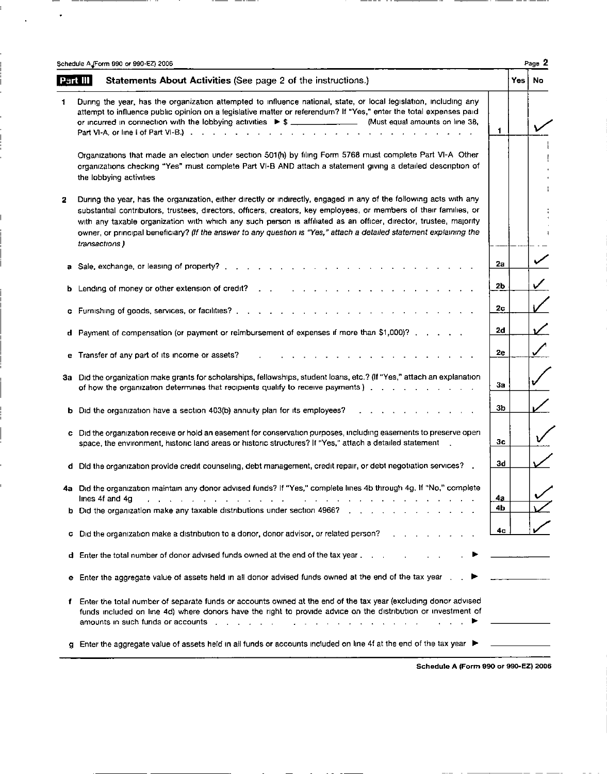|   | Page 2<br>Schedule A (Form 990 or 990-EZ) 2006                                                                                                                                                                                                                                                                                                                                                                                                                                                             |           |       |           |  |  |  |  |  |
|---|------------------------------------------------------------------------------------------------------------------------------------------------------------------------------------------------------------------------------------------------------------------------------------------------------------------------------------------------------------------------------------------------------------------------------------------------------------------------------------------------------------|-----------|-------|-----------|--|--|--|--|--|
|   | Statements About Activities (See page 2 of the instructions.)<br>Part III                                                                                                                                                                                                                                                                                                                                                                                                                                  |           | Yes l | No.       |  |  |  |  |  |
| 1 | During the year, has the organization attempted to influence national, state, or local legislation, including any<br>attempt to influence public opinion on a legislative matter or referendum? If "Yes," enter the total expenses paid<br>or incurred in connection with the lobbying activities $\triangleright$ \$ ________________ (Must equal amounts on line 38,<br>Part VI-A, or line i of Part VI-B.) $\ldots$ $\ldots$ $\ldots$ $\ldots$ $\ldots$ $\ldots$ $\ldots$ $\ldots$ $\ldots$ $\ldots$    | 1         |       |           |  |  |  |  |  |
|   | Organizations that made an election under section 501(h) by filing Form 5768 must complete Part VI-A Other<br>organizations checking "Yes" must complete Part VI-B AND attach a statement giving a detailed description of<br>the lobbying activities                                                                                                                                                                                                                                                      |           |       |           |  |  |  |  |  |
| 2 | During the year, has the organization, either directly or indirectly, engaged in any of the following acts with any<br>substantial contributors, trustees, directors, officers, creators, key employees, or members of their families, or<br>with any taxable organization with which any such person is affiliated as an officer, director, trustee, majority<br>owner, or principal beneficiary? (If the answer to any question is "Yes," attach a detailed statement explaining the<br>transactions)    |           |       |           |  |  |  |  |  |
| а | Sale, exchange, or leasing of property?.                                                                                                                                                                                                                                                                                                                                                                                                                                                                   | 2a        |       |           |  |  |  |  |  |
| b | Lending of money or other extension of credit?                                                                                                                                                                                                                                                                                                                                                                                                                                                             | 2Ь        |       | ✓         |  |  |  |  |  |
|   | c Furnishing of goods, services, or facilities?                                                                                                                                                                                                                                                                                                                                                                                                                                                            | 2с        |       |           |  |  |  |  |  |
|   | d Payment of compensation (or payment or reimbursement of expenses if more than \$1,000)? $\ldots$ , $\ldots$                                                                                                                                                                                                                                                                                                                                                                                              | 2d        |       | ✓         |  |  |  |  |  |
|   | e Transfer of any part of its income or assets?                                                                                                                                                                                                                                                                                                                                                                                                                                                            | 2e        |       | $\diagup$ |  |  |  |  |  |
|   | 3a Did the organization make grants for scholarships, fellowships, student loans, etc.? (If "Yes," attach an explanation<br>of how the organization determines that recipients qualify to receive payments)                                                                                                                                                                                                                                                                                                | За        |       |           |  |  |  |  |  |
|   | <b>b</b> Did the organization have a section 403(b) annuity plan for its employees?                                                                                                                                                                                                                                                                                                                                                                                                                        | 3b        |       |           |  |  |  |  |  |
|   | c Did the organization receive or hold an easement for conservation purposes, including easements to preserve open<br>space, the environment, historic land areas or historic structures? If "Yes," attach a detailed statement<br>$\sim$ 10 $\mu$                                                                                                                                                                                                                                                         | Зс        |       |           |  |  |  |  |  |
|   | d Did the organization provide credit counseling, debt management, credit repair, or debt negotiation services? .                                                                                                                                                                                                                                                                                                                                                                                          | 3d        |       |           |  |  |  |  |  |
|   | 4a Did the organization maintain any donor advised funds? If "Yes," complete lines 4b through 4g. If "No," complete<br>lines 4f and 4g<br>المنابع المنابع المنابع المنابع المنابي<br>المتناجي والمناجي والمتناجي والمناجي والمناجي والمناج                                                                                                                                                                                                                                                                 | <u>4а</u> |       |           |  |  |  |  |  |
|   | b Did the organization make any taxable distributions under section 49667                                                                                                                                                                                                                                                                                                                                                                                                                                  | 4b        |       |           |  |  |  |  |  |
| c | Did the organization make a distribution to a donor, donor advisor, or related person?                                                                                                                                                                                                                                                                                                                                                                                                                     | 4с        |       |           |  |  |  |  |  |
|   | d Enter the total number of donor advised funds owned at the end of the tax year.                                                                                                                                                                                                                                                                                                                                                                                                                          |           |       |           |  |  |  |  |  |
| е | Enter the aggregate value of assets held in all donor advised funds owned at the end of the tax year.                                                                                                                                                                                                                                                                                                                                                                                                      |           |       |           |  |  |  |  |  |
| f | Enter the total number of separate funds or accounts owned at the end of the tax year (excluding donor advised<br>funds included on line 4d) where donors have the right to provide advice on the distribution or investment of<br>amounts in such funds or accounts response to the contract of the contract of the contract of the contract of the contract of the contract of the contract of the contract of the contract of the contract of the contract of<br>$\mathbf{A} = \mathbf{A} + \mathbf{A}$ |           |       |           |  |  |  |  |  |
|   | g Enter the aggregate value of assets held in all funds or accounts included on line 4f at the end of the tax year ▶                                                                                                                                                                                                                                                                                                                                                                                       |           |       |           |  |  |  |  |  |

 $\ddot{\phantom{0}}$ 

Schedule A (Form 990 or 990- EZ) 2006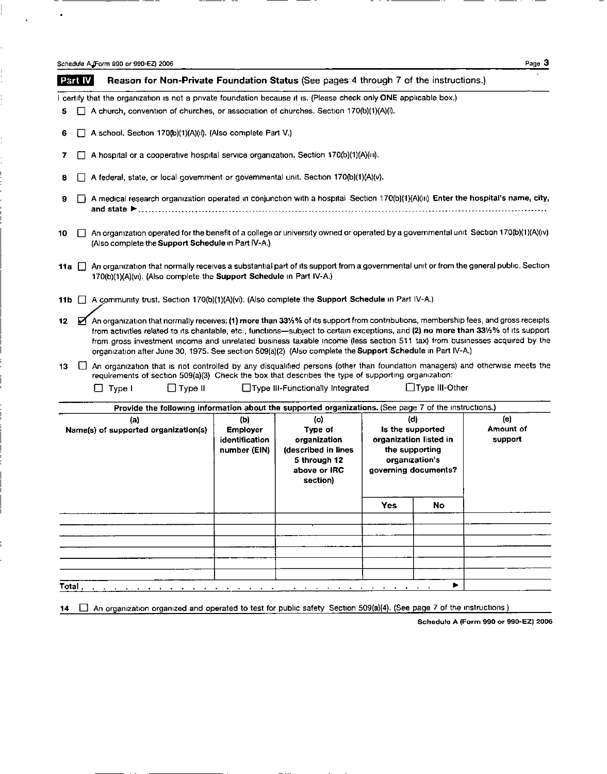Schedule A. Form 990 or 990-EZ) 2006 Page 3

 $\bullet$ 

ċ,

 $\frac{1}{1}$ 

i<br>C

i.

| <b>Part IV</b>                              |              | Reason for Non-Private Foundation Status (See pages 4 through 7 of the instructions.)                                                                                                                                                                                                                                                                                                                                                                                                                               |                                                          |                                                                                                   |     |                                                                                                               |                             |  |  |
|---------------------------------------------|--------------|---------------------------------------------------------------------------------------------------------------------------------------------------------------------------------------------------------------------------------------------------------------------------------------------------------------------------------------------------------------------------------------------------------------------------------------------------------------------------------------------------------------------|----------------------------------------------------------|---------------------------------------------------------------------------------------------------|-----|---------------------------------------------------------------------------------------------------------------|-----------------------------|--|--|
|                                             |              | I certify that the organization is not a private foundation because it is. (Please check only ONE applicable box.)                                                                                                                                                                                                                                                                                                                                                                                                  |                                                          |                                                                                                   |     |                                                                                                               |                             |  |  |
| 5                                           |              | A church, convention of churches, or association of churches. Section 170(b)(1)(A)(i).                                                                                                                                                                                                                                                                                                                                                                                                                              |                                                          |                                                                                                   |     |                                                                                                               |                             |  |  |
| 6                                           |              | A school. Section 170(b)(1)(A)(ii). (Also complete Part V.)                                                                                                                                                                                                                                                                                                                                                                                                                                                         |                                                          |                                                                                                   |     |                                                                                                               |                             |  |  |
| 7                                           |              | A hospital or a cooperative hospital service organization. Section 170(b)(1)(A)(iii).                                                                                                                                                                                                                                                                                                                                                                                                                               |                                                          |                                                                                                   |     |                                                                                                               |                             |  |  |
| 8                                           |              | A federal, state, or local government or governmental unit. Section 170(b)(1)(A)(v).                                                                                                                                                                                                                                                                                                                                                                                                                                |                                                          |                                                                                                   |     |                                                                                                               |                             |  |  |
| 9                                           |              | A medical research organization operated in conjunction with a hospital Section 170(b)(1)(A)(iii) Enter the hospital's name, city,                                                                                                                                                                                                                                                                                                                                                                                  |                                                          |                                                                                                   |     |                                                                                                               |                             |  |  |
| 10                                          | $\mathbf{1}$ | An organization operated for the benefit of a college or university owned or operated by a governmental unit Section 170(b)(1)(A)(iv)<br>(Also complete the Support Schedule in Part IV-A.)                                                                                                                                                                                                                                                                                                                         |                                                          |                                                                                                   |     |                                                                                                               |                             |  |  |
| 11a I I                                     |              | An organization that normally receives a substantial part of its support from a governmental unit or from the general public. Section<br>170(b)(1)(A)(vi). (Also complete the Support Schedule in Part IV-A.)                                                                                                                                                                                                                                                                                                       |                                                          |                                                                                                   |     |                                                                                                               |                             |  |  |
| 11b I                                       |              | A community trust. Section 170(b)(1)(A)(vi). (Also complete the Support Schedule in Part IV-A.)                                                                                                                                                                                                                                                                                                                                                                                                                     |                                                          |                                                                                                   |     |                                                                                                               |                             |  |  |
| $12-12$                                     | М            | An organization that normally receives: (1) more than 33%% of its support from contributions, membership fees, and gross receipts<br>from activities related to its chantable, etc., functions—subject to certain exceptions, and (2) no more than 331/3% of its support<br>from gross investment income and unrelated business taxable income (less section 511 tax) from businesses acquired by the<br>organization after June 30, 1975. See section 509(a)(2) (Also complete the Support Schedule in Part IV-A.) |                                                          |                                                                                                   |     |                                                                                                               |                             |  |  |
| 13                                          |              | An organization that is not controlled by any disqualified persons (other than foundation managers) and otherwise meets the<br>requirements of section 509(a)(3) Check the box that describes the type of supporting organization:                                                                                                                                                                                                                                                                                  |                                                          |                                                                                                   |     |                                                                                                               |                             |  |  |
|                                             |              | $\Box$ Type I<br>$\Box$ Type II                                                                                                                                                                                                                                                                                                                                                                                                                                                                                     |                                                          | □ Type III-Functionally Integrated                                                                |     | $\Box$ Type III-Other                                                                                         |                             |  |  |
|                                             |              | Provide the following information about the supported organizations. (See page 7 of the instructions.)                                                                                                                                                                                                                                                                                                                                                                                                              |                                                          |                                                                                                   |     |                                                                                                               |                             |  |  |
| (a)<br>Name(s) of supported organization(s) |              |                                                                                                                                                                                                                                                                                                                                                                                                                                                                                                                     | (b)<br><b>Employer</b><br>identification<br>number (EIN) | (c)<br>Type of<br>organization<br>(described in lines<br>5 through 12<br>above or IRC<br>section) |     | (d)<br>Is the supported<br>organization listed in<br>the supporting<br>organization's<br>governing documents? | (e)<br>Amount of<br>support |  |  |
|                                             |              |                                                                                                                                                                                                                                                                                                                                                                                                                                                                                                                     |                                                          |                                                                                                   | Yes | No                                                                                                            |                             |  |  |
|                                             |              |                                                                                                                                                                                                                                                                                                                                                                                                                                                                                                                     |                                                          |                                                                                                   |     |                                                                                                               |                             |  |  |

14 **q** An organization organized and operated to test for public safety Section 509(a)(4). (See page 7 of the instructions )

Total . . . . . . . . . . . . . . . . . . . . . . . . . . . . . . . <sup>I</sup>

Schedule A (Form 990 or 990-EZ) 2006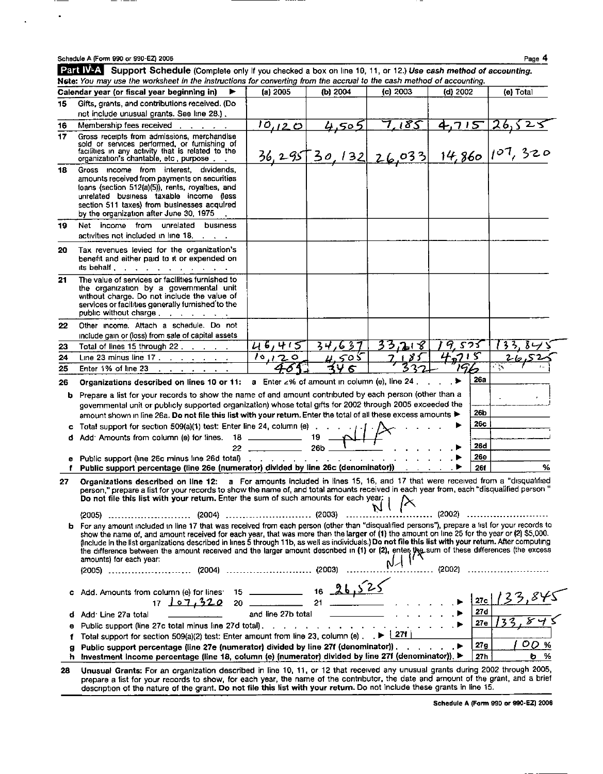$\overline{\phantom{0}}$ 

 $\bullet$ 

 $\ddot{\phantom{a}}$ 

|    | Schedule A (Form 990 or 990-EZ) 2006                                                                                                                                                                                                                                                                                                                                                                                                                                                                                                                                                                                            |                                    |              |          |                  | Page 4                                          |  |
|----|---------------------------------------------------------------------------------------------------------------------------------------------------------------------------------------------------------------------------------------------------------------------------------------------------------------------------------------------------------------------------------------------------------------------------------------------------------------------------------------------------------------------------------------------------------------------------------------------------------------------------------|------------------------------------|--------------|----------|------------------|-------------------------------------------------|--|
|    | Part W-A Support Schedule (Complete only If you checked a box on line 10, 11, or 12.) Use cash method of accounting.<br>Nete: You may use the worksheet in the instructions for converting from the accrual to the cash method of accounting.                                                                                                                                                                                                                                                                                                                                                                                   |                                    |              |          |                  |                                                 |  |
|    | Calendar year (or fiscal year beginning in)                                                                                                                                                                                                                                                                                                                                                                                                                                                                                                                                                                                     | (a) 2005                           | (b) 2004     | (c) 2003 | $(d)$ 2002       | (e) Total                                       |  |
| 15 | Gifts, grants, and contributions received. (Do                                                                                                                                                                                                                                                                                                                                                                                                                                                                                                                                                                                  |                                    |              |          |                  |                                                 |  |
|    | not include unusual grants. See line 28.).                                                                                                                                                                                                                                                                                                                                                                                                                                                                                                                                                                                      |                                    |              |          |                  |                                                 |  |
| 16 | Membership fees received                                                                                                                                                                                                                                                                                                                                                                                                                                                                                                                                                                                                        | 10, 120                            | 4,505        | 7,185    | <u>4,715</u>     | <u>26,525</u>                                   |  |
| 17 | Gross receipts from admissions, merchandise<br>sold or services performed, or furnishing of<br>facilities in any activity that is related to the<br>organization's chantable, etc. purpose.                                                                                                                                                                                                                                                                                                                                                                                                                                     |                                    |              |          |                  | $\frac{36}{295}$ 30, 132 26,033 14,860 107, 320 |  |
| 18 | Gross income from interest, dividends,<br>amounts received from payments on securities<br>loans (section 512(a)(5)), rents, royalties, and<br>unrelated business taxable income (less<br>section 511 taxes) from businesses acquired<br>by the organization after June 30, 1975                                                                                                                                                                                                                                                                                                                                                 |                                    |              |          |                  |                                                 |  |
| 19 | Net income from unrelated<br>business<br>activities not included in line 18.                                                                                                                                                                                                                                                                                                                                                                                                                                                                                                                                                    |                                    |              |          |                  |                                                 |  |
| 20 | Tax revenues levied for the organization's<br>benefit and either paid to it or expended on<br>its behalf                                                                                                                                                                                                                                                                                                                                                                                                                                                                                                                        |                                    |              |          |                  |                                                 |  |
| 21 | The value of services or facilities furnished to<br>the organization by a governmental unit<br>without charge. Do not include the value of<br>services or facilities generally furnished to the<br>public without charge                                                                                                                                                                                                                                                                                                                                                                                                        |                                    |              |          |                  |                                                 |  |
| 22 | Other income. Attach a schedule. Do not                                                                                                                                                                                                                                                                                                                                                                                                                                                                                                                                                                                         |                                    |              |          |                  |                                                 |  |
|    | include gain or (loss) from sale of capital assets                                                                                                                                                                                                                                                                                                                                                                                                                                                                                                                                                                              |                                    |              |          |                  |                                                 |  |
| 23 | Total of lines 15 through 22                                                                                                                                                                                                                                                                                                                                                                                                                                                                                                                                                                                                    | 46,415                             | 34,637       | 33,218   | 9.575            |                                                 |  |
| 24 | Line 23 minus line $17.$ $\ldots$ $\ldots$ $\ldots$                                                                                                                                                                                                                                                                                                                                                                                                                                                                                                                                                                             | 10,120                             | <u>4,505</u> | 185      | 4.715            | $2 - 1$<br>e in                                 |  |
| 25 | Enter 1% of line 23<br>$\mathbf{r}$ and $\mathbf{r}$ and $\mathbf{r}$ and $\mathbf{r}$                                                                                                                                                                                                                                                                                                                                                                                                                                                                                                                                          |                                    | スリ<br>6      |          | 79 <sub>62</sub> |                                                 |  |
| 26 | Organizations described on lines 10 or 11: a Enter ∠% of amount in column (e), line 24.                                                                                                                                                                                                                                                                                                                                                                                                                                                                                                                                         |                                    |              |          | 26a<br>$\ldots$  |                                                 |  |
| b. | Prepare a list for your records to show the name of and amount contributed by each person (other than a<br>governmental unit or publicly supported organization) whose total gifts for 2002 through 2005 exceeded the                                                                                                                                                                                                                                                                                                                                                                                                           |                                    |              |          |                  |                                                 |  |
|    | amount shown in line 26a. Do not file this list with your return. Enter the total of all these excess amounts >                                                                                                                                                                                                                                                                                                                                                                                                                                                                                                                 |                                    |              |          | 26b              |                                                 |  |
|    | Total support for section 509(a)(1) test: Enter line 24, column (e) 1                                                                                                                                                                                                                                                                                                                                                                                                                                                                                                                                                           |                                    |              |          | 26c              |                                                 |  |
| d  |                                                                                                                                                                                                                                                                                                                                                                                                                                                                                                                                                                                                                                 |                                    |              |          |                  |                                                 |  |
|    |                                                                                                                                                                                                                                                                                                                                                                                                                                                                                                                                                                                                                                 | $22 \frac{1}{26b}$ $1 \frac{1}{1}$ |              |          | 26d              |                                                 |  |
|    | <b>e</b> Public support (line 26c minus line 26d total) $\ldots$ $\ldots$ $\ldots$ $\ldots$ $\ldots$ $\ldots$                                                                                                                                                                                                                                                                                                                                                                                                                                                                                                                   |                                    |              |          | <b>26e</b>       |                                                 |  |
| f  | Public support percentage (line 26e (numerator) divided by line 26c (denominator)) [149]                                                                                                                                                                                                                                                                                                                                                                                                                                                                                                                                        |                                    |              |          | <b>26f</b>       | %                                               |  |
| 27 | Organizations described on line 12: a For amounts included in lines 15, 16, and 17 that were received from a "disqualified<br>person," prepare a list for your records to show the name of, and total amounts received in each year from, each "disqualified person "<br>Do not file this list with your return. Enter the sum of such amounts for each year;                                                                                                                                                                                                                                                                   |                                    |              |          |                  |                                                 |  |
|    |                                                                                                                                                                                                                                                                                                                                                                                                                                                                                                                                                                                                                                 |                                    |              |          | (2002)           |                                                 |  |
|    | b For any amount included in line 17 that was received from each person (other than "disqualified persons"), prepare a list for your records to<br>show the name of, and amount received for each year, that was more than the larger of (1) the amount on line 25 for the year or (2) \$5,000.<br>(include in the list organizations described in lines 5 through 11b, as well as individuals.) Do not file this list with your return. After computing<br>the difference between the amount received and the larger amount described in (1) or (2), enter the sum of these differences (the excess<br>amounts) for each year: |                                    |              |          | . (2002)         |                                                 |  |
|    | Add. Amounts from column (e) for lines: 15 ______________ 16 _26.                                                                                                                                                                                                                                                                                                                                                                                                                                                                                                                                                               |                                    |              |          |                  |                                                 |  |
|    | 17, 107, 320                                                                                                                                                                                                                                                                                                                                                                                                                                                                                                                                                                                                                    | $20$ ________                      |              |          | 27c              |                                                 |  |
|    | Add <sup>-</sup> Line 27a total                                                                                                                                                                                                                                                                                                                                                                                                                                                                                                                                                                                                 | and line 27b total                 |              |          | 27d              |                                                 |  |
|    | Public support (line 27c total minus line 27d total).                                                                                                                                                                                                                                                                                                                                                                                                                                                                                                                                                                           |                                    |              |          | 27e              |                                                 |  |
|    | Total support for section 509(a)(2) test: Enter amount from line 23, column (e) $\Box$ $\blacktriangleright$ $\frac{127f}{27f}$                                                                                                                                                                                                                                                                                                                                                                                                                                                                                                 |                                    |              |          |                  |                                                 |  |
| g  | Public support percentage (line 27e (numerator) divided by line 27f (denominator)).                                                                                                                                                                                                                                                                                                                                                                                                                                                                                                                                             |                                    |              |          | 27g<br>▶         | OD.<br>%                                        |  |
| ħ. | Investment income percentage (line 18, column (e) (numerator) divided by line 27f (denominator)). ▶                                                                                                                                                                                                                                                                                                                                                                                                                                                                                                                             |                                    |              |          | 27h              | %<br>O.                                         |  |
|    | 28. Unusual Grants: For an organization described in line 10, 11, or 12 that received any unusual grants during 2002 through 2005,                                                                                                                                                                                                                                                                                                                                                                                                                                                                                              |                                    |              |          |                  |                                                 |  |

28 Unusual Grants: For an organization described in line 10, 11, or 12 that received any unusual grants during 2002 through 2005, prepare a list for your records to show, for each year, the name of the contributor, the date and amount of the grant, and <sup>a</sup> brief description of the nature of the grant. Do not file this list with your return. Do not include these grants in line 15.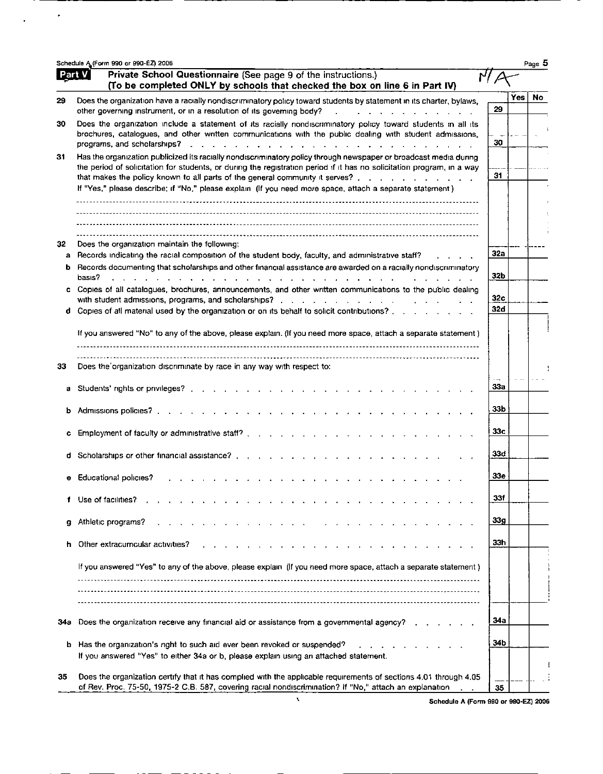|        | Schedule A (Form 990 or 990-EZ) 2006                                                                                                                                                                                                                                                                                                                                                                                                                        |                   |            | Page 5    |
|--------|-------------------------------------------------------------------------------------------------------------------------------------------------------------------------------------------------------------------------------------------------------------------------------------------------------------------------------------------------------------------------------------------------------------------------------------------------------------|-------------------|------------|-----------|
| Part V | Private School Questionnaire (See page 9 of the instructions.)<br>(To be completed ONLY by schools that checked the box on line 6 in Part IV)                                                                                                                                                                                                                                                                                                               |                   |            |           |
| 29     | Does the organization have a racially nondiscriminatory policy toward students by statement in its charter, bylaws,<br>other governing instrument, or in a resolution of its governing body?<br>$\mathbf{r}$ , $\mathbf{r}$ , $\mathbf{r}$ , $\mathbf{r}$ , $\mathbf{r}$ , $\mathbf{r}$                                                                                                                                                                     | 29                | <b>Yes</b> | <b>No</b> |
| 30     | Does the organization include a statement of its racially nondiscriminatory policy toward students in all its<br>brochures, catalogues, and other written communications with the public dealing with student admissions,<br>programs, and scholarships?<br>المنافر والمنافر والمنافر والمنافر والمنافر والمنافر والمنافر والمنافر والمنافر والمنافر والمنافر والمنافر                                                                                      | 30                |            |           |
| 31     | Has the organization publicized its racially nondiscriminatory policy through newspaper or broadcast media during<br>the period of solicitation for students, or during the registration period if it has no solicitation program, in a way<br>that makes the policy known to all parts of the general community it serves?<br>If "Yes," please describe; if "No," please explain (If you need more space, attach a separate statement)                     | 31                |            |           |
|        |                                                                                                                                                                                                                                                                                                                                                                                                                                                             |                   |            |           |
| 32     | Does the organization maintain the following:<br>a Records indicating the racial composition of the student body, faculty, and administrative staff?                                                                                                                                                                                                                                                                                                        | 32a               |            |           |
|        | b Records documenting that scholarships and other financial assistance are awarded on a racially nondiscriminatory                                                                                                                                                                                                                                                                                                                                          | 32b               |            |           |
|        | basis?<br>$\mathbf{r}$ . The state of the state of the state of the state of the state of the state of the state of the state of the state of the state of the state of the state of the state of the state of the state of the state of th<br>c Copies of all catalogues, brochures, announcements, and other written communications to the public dealing<br>d Copies of all material used by the organization or on its behalf to solicit contributions? | 32c<br><b>32d</b> |            |           |
|        | If you answered "No" to any of the above, please explain. (If you need more space, attach a separate statement)                                                                                                                                                                                                                                                                                                                                             |                   |            |           |
| 33     | Does the organization discriminate by race in any way with respect to:                                                                                                                                                                                                                                                                                                                                                                                      |                   |            |           |
| a      |                                                                                                                                                                                                                                                                                                                                                                                                                                                             | 33a               |            |           |
| b      | Admissions policies?<br>$\mathbf{r}$ , $\mathbf{r}$ , $\mathbf{r}$ , $\mathbf{r}$ , $\mathbf{r}$ , $\mathbf{r}$                                                                                                                                                                                                                                                                                                                                             | 33 b              |            |           |
|        | Employment of faculty or administrative staff?                                                                                                                                                                                                                                                                                                                                                                                                              | 33с               |            |           |
|        | d Scholarships or other financial assistance?                                                                                                                                                                                                                                                                                                                                                                                                               | 33d               |            |           |
|        | Educational policies?                                                                                                                                                                                                                                                                                                                                                                                                                                       | 33 e              |            |           |
| f      | Use of facilities?                                                                                                                                                                                                                                                                                                                                                                                                                                          | 331               |            |           |
|        | Athletic programs?                                                                                                                                                                                                                                                                                                                                                                                                                                          | 33g               |            |           |
|        | Other extracumcular activities?                                                                                                                                                                                                                                                                                                                                                                                                                             | 33h               |            |           |
|        | If you answered "Yes" to any of the above, please explain (If you need more space, attach a separate statement)                                                                                                                                                                                                                                                                                                                                             |                   |            |           |
|        |                                                                                                                                                                                                                                                                                                                                                                                                                                                             |                   |            |           |
| 34a    | Does the organization receive any financial aid or assistance from a governmental agency?                                                                                                                                                                                                                                                                                                                                                                   | 34a               |            |           |
| b      | Has the organization's right to such aid ever been revoked or suspended?<br>If you answered "Yes" to either 34a or b, please explain using an attached statement.                                                                                                                                                                                                                                                                                           | 34b               |            |           |
| 35     | Does the organization certify that it has complied with the applicable requirements of sections 4.01 through 4.05<br>of Rev. Proc. 75-50, 1975-2 C.B. 587, covering racial nondiscrimination? If "No," attach an explanation                                                                                                                                                                                                                                | 35                |            |           |

<u> 1950 - Paris Andrews III, president politik (</u>  $\Delta_{\rm{max}}$  ,  $\Delta_{\rm{max}}$ 

% Schedule A (Form 990 or 990-EZ) 2006<br>
Schedule A (Form 990 or 990-EZ) 2006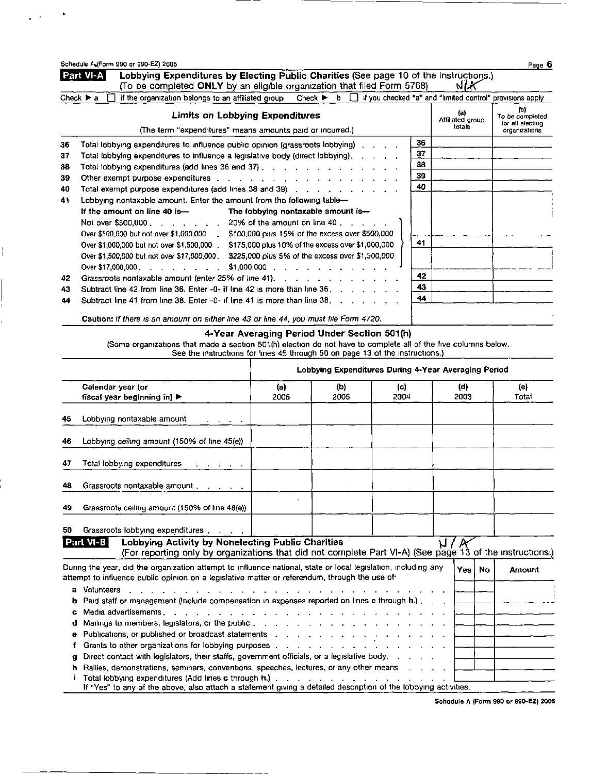| NIA<br>(To be completed ONLY by an eligible organization that filed Form 5768)<br>Check $\triangleright$ b $\Box$ if you checked "a" and "limited control" provisions apply<br>if the organization belongs to an affiliated group<br>Check $\blacktriangleright$ a<br>(b)<br>(a)<br><b>Limits on Lobbying Expenditures</b><br>To be completed<br>Affiliated group<br>for all electing<br>totals<br>(The term "expenditures" means amounts paid or incurred.)<br>organizations<br>36<br>Total lobbying expenditures to influence public opinion (grassroots lobbying) (application)<br>36<br>37<br>37<br>Total lobbying expenditures to influence a legislative body (direct lobbying),<br>38<br>Total lobbying expenditures (add lines 36 and 37), we array as a contract of<br>38<br>39<br>39<br>Other exempt purpose expenditures example and a series and a series of the series of the series of the series of the series of the series of the series of the series of the series of the series of the series of the series<br>40<br>Total exempt purpose expenditures (add lines 38 and 39)<br>40<br>Lobbying nontaxable amount. Enter the amount from the following table-<br>41<br>If the amount on line 40 is-<br>The lobbying nontaxable amount is-<br>Not over \$500,000<br>20% of the amount on line 40 $\ldots$<br>\$100,000 plus 15% of the excess over \$500,000<br>Over \$500,000 but not over \$1,000,000 .<br>41<br>Over \$1,000,000 but not over \$1,500,000.<br>\$175,000 plus 10% of the excess over \$1,000,000<br>Over \$1,500,000 but not over \$17,000,000. \$225,000 plus 5% of the excess over \$1,500,000<br>Over \$17,000,000<br>$$1,000,000$<br>42<br>Grassroots nontaxable amount (enter 25% of line 41), e.g. and all cases in the case of the Cases of the Cases<br>42<br>43.<br>Subtract line 42 from line 36, Enter -0- if line 42 is more than line 36<br>43<br>44<br>Subtract line 41 from line 38. Enter -0- if line 41 is more than line 38.<br>44<br>Caution: If there is an amount on either line 43 or line 44, you must file Form 4720.<br>4-Year Averaging Period Under Section 501(h)<br>(Some organizations that made a section 501(h) election do not have to complete all of the five columns below.<br>See the instructions for lines 45 through 50 on page 13 of the instructions.)<br>Lobbying Expenditures During 4-Year Averaging Period<br>Calendar year (or<br>(d)<br>(e)<br>(a)<br>(b)<br>(c)<br>2003<br>Total<br>fiscal year beginning in) $\blacktriangleright$<br>2006<br>2005<br>2004<br>Lobbying nontaxable amount<br>45<br>Lobbying ceiling amount (150% of line 45(e))<br>46<br>Total lobbying expenditures<br>47<br><b>CONTRACTOR</b><br>Grassroots nontaxable amount<br>48<br>Grassroots ceiling amount (150% of line 48(e))<br>49<br>Grassroots lobbying expenditures, with a<br>50<br>Lobbying Activity by Nonelecting Public Charities<br>Part VI-B<br>M/R<br>(For reporting only by organizations that did not complete Part VI-A) (See page 13 of the instructions.)<br>During the year, did the organization attempt to influence national, state or local legislation, including any<br>Yes<br>No<br>Amount<br>attempt to influence public opinion on a legislative matter or referendum, through the use of<br>a Volunteers<br>Paid staff or management (Include compensation in expenses reported on lines c through h.).<br>b<br>Media advertisements<br>c<br>Mailings to members, legislators, or the public<br>d<br>Publications, or published or broadcast statements and a contact of the contact of the contact of the contact of the contact of the contact of the contact of the contact of the contact of the contact of the contact of the<br>e<br>Grants to other organizations for lobbying purposes<br>f<br>Direct contact with legislators, their staffs, government officials, or a legislative body. .<br>g<br>Rallies, demonstrations, seminars, conventions, speeches, lectures, or any other means<br>h.<br>Total lobbying expenditures (Add lines c through h.).<br>the contract of the contract of the contract of the contract of the contract of the contract of the contract of the contract of the contract of the contract of the contract of the contract of the contract of the contract o<br>If "Yes" to any of the above, also attach a statement giving a detailed description of the lobbying activities. | Schedule AufForm 990 or 990-EZ) 2006<br>Lobbying Expenditures by Electing Public Charities (See page 10 of the instructions.)<br>Part VI-A |  |  |  |  |  | Page 6 |  |
|--------------------------------------------------------------------------------------------------------------------------------------------------------------------------------------------------------------------------------------------------------------------------------------------------------------------------------------------------------------------------------------------------------------------------------------------------------------------------------------------------------------------------------------------------------------------------------------------------------------------------------------------------------------------------------------------------------------------------------------------------------------------------------------------------------------------------------------------------------------------------------------------------------------------------------------------------------------------------------------------------------------------------------------------------------------------------------------------------------------------------------------------------------------------------------------------------------------------------------------------------------------------------------------------------------------------------------------------------------------------------------------------------------------------------------------------------------------------------------------------------------------------------------------------------------------------------------------------------------------------------------------------------------------------------------------------------------------------------------------------------------------------------------------------------------------------------------------------------------------------------------------------------------------------------------------------------------------------------------------------------------------------------------------------------------------------------------------------------------------------------------------------------------------------------------------------------------------------------------------------------------------------------------------------------------------------------------------------------------------------------------------------------------------------------------------------------------------------------------------------------------------------------------------------------------------------------------------------------------------------------------------------------------------------------------------------------------------------------------------------------------------------------------------------------------------------------------------------------------------------------------------------------------------------------------------------------------------------------------------------------------------------------------------------------------------------------------------------------------------------------------------------------------------------------------------------------------------------------------------------------------------------------------------------------------------------------------------------------------------------------------------------------------------------------------------------------------------------------------------------------------------------------------------------------------------------------------------------------------------------------------------------------------------------------------------------------------------------------------------------------------------------------------------------------------------------------------------------------------------------------------------------------------------------------------------------------------------------------------------------------------------------------------------------------------------------------------------------------------------------------------------------------------------------------------------------------------------------------------------------------------------------------------------------------------------------------------------------------------------------------------------------------------------------|--------------------------------------------------------------------------------------------------------------------------------------------|--|--|--|--|--|--------|--|
|                                                                                                                                                                                                                                                                                                                                                                                                                                                                                                                                                                                                                                                                                                                                                                                                                                                                                                                                                                                                                                                                                                                                                                                                                                                                                                                                                                                                                                                                                                                                                                                                                                                                                                                                                                                                                                                                                                                                                                                                                                                                                                                                                                                                                                                                                                                                                                                                                                                                                                                                                                                                                                                                                                                                                                                                                                                                                                                                                                                                                                                                                                                                                                                                                                                                                                                                                                                                                                                                                                                                                                                                                                                                                                                                                                                                                                                                                                                                                                                                                                                                                                                                                                                                                                                                                                                                                                                                                    |                                                                                                                                            |  |  |  |  |  |        |  |
|                                                                                                                                                                                                                                                                                                                                                                                                                                                                                                                                                                                                                                                                                                                                                                                                                                                                                                                                                                                                                                                                                                                                                                                                                                                                                                                                                                                                                                                                                                                                                                                                                                                                                                                                                                                                                                                                                                                                                                                                                                                                                                                                                                                                                                                                                                                                                                                                                                                                                                                                                                                                                                                                                                                                                                                                                                                                                                                                                                                                                                                                                                                                                                                                                                                                                                                                                                                                                                                                                                                                                                                                                                                                                                                                                                                                                                                                                                                                                                                                                                                                                                                                                                                                                                                                                                                                                                                                                    |                                                                                                                                            |  |  |  |  |  |        |  |
|                                                                                                                                                                                                                                                                                                                                                                                                                                                                                                                                                                                                                                                                                                                                                                                                                                                                                                                                                                                                                                                                                                                                                                                                                                                                                                                                                                                                                                                                                                                                                                                                                                                                                                                                                                                                                                                                                                                                                                                                                                                                                                                                                                                                                                                                                                                                                                                                                                                                                                                                                                                                                                                                                                                                                                                                                                                                                                                                                                                                                                                                                                                                                                                                                                                                                                                                                                                                                                                                                                                                                                                                                                                                                                                                                                                                                                                                                                                                                                                                                                                                                                                                                                                                                                                                                                                                                                                                                    |                                                                                                                                            |  |  |  |  |  |        |  |
|                                                                                                                                                                                                                                                                                                                                                                                                                                                                                                                                                                                                                                                                                                                                                                                                                                                                                                                                                                                                                                                                                                                                                                                                                                                                                                                                                                                                                                                                                                                                                                                                                                                                                                                                                                                                                                                                                                                                                                                                                                                                                                                                                                                                                                                                                                                                                                                                                                                                                                                                                                                                                                                                                                                                                                                                                                                                                                                                                                                                                                                                                                                                                                                                                                                                                                                                                                                                                                                                                                                                                                                                                                                                                                                                                                                                                                                                                                                                                                                                                                                                                                                                                                                                                                                                                                                                                                                                                    |                                                                                                                                            |  |  |  |  |  |        |  |
|                                                                                                                                                                                                                                                                                                                                                                                                                                                                                                                                                                                                                                                                                                                                                                                                                                                                                                                                                                                                                                                                                                                                                                                                                                                                                                                                                                                                                                                                                                                                                                                                                                                                                                                                                                                                                                                                                                                                                                                                                                                                                                                                                                                                                                                                                                                                                                                                                                                                                                                                                                                                                                                                                                                                                                                                                                                                                                                                                                                                                                                                                                                                                                                                                                                                                                                                                                                                                                                                                                                                                                                                                                                                                                                                                                                                                                                                                                                                                                                                                                                                                                                                                                                                                                                                                                                                                                                                                    |                                                                                                                                            |  |  |  |  |  |        |  |
|                                                                                                                                                                                                                                                                                                                                                                                                                                                                                                                                                                                                                                                                                                                                                                                                                                                                                                                                                                                                                                                                                                                                                                                                                                                                                                                                                                                                                                                                                                                                                                                                                                                                                                                                                                                                                                                                                                                                                                                                                                                                                                                                                                                                                                                                                                                                                                                                                                                                                                                                                                                                                                                                                                                                                                                                                                                                                                                                                                                                                                                                                                                                                                                                                                                                                                                                                                                                                                                                                                                                                                                                                                                                                                                                                                                                                                                                                                                                                                                                                                                                                                                                                                                                                                                                                                                                                                                                                    |                                                                                                                                            |  |  |  |  |  |        |  |
|                                                                                                                                                                                                                                                                                                                                                                                                                                                                                                                                                                                                                                                                                                                                                                                                                                                                                                                                                                                                                                                                                                                                                                                                                                                                                                                                                                                                                                                                                                                                                                                                                                                                                                                                                                                                                                                                                                                                                                                                                                                                                                                                                                                                                                                                                                                                                                                                                                                                                                                                                                                                                                                                                                                                                                                                                                                                                                                                                                                                                                                                                                                                                                                                                                                                                                                                                                                                                                                                                                                                                                                                                                                                                                                                                                                                                                                                                                                                                                                                                                                                                                                                                                                                                                                                                                                                                                                                                    |                                                                                                                                            |  |  |  |  |  |        |  |
|                                                                                                                                                                                                                                                                                                                                                                                                                                                                                                                                                                                                                                                                                                                                                                                                                                                                                                                                                                                                                                                                                                                                                                                                                                                                                                                                                                                                                                                                                                                                                                                                                                                                                                                                                                                                                                                                                                                                                                                                                                                                                                                                                                                                                                                                                                                                                                                                                                                                                                                                                                                                                                                                                                                                                                                                                                                                                                                                                                                                                                                                                                                                                                                                                                                                                                                                                                                                                                                                                                                                                                                                                                                                                                                                                                                                                                                                                                                                                                                                                                                                                                                                                                                                                                                                                                                                                                                                                    |                                                                                                                                            |  |  |  |  |  |        |  |
|                                                                                                                                                                                                                                                                                                                                                                                                                                                                                                                                                                                                                                                                                                                                                                                                                                                                                                                                                                                                                                                                                                                                                                                                                                                                                                                                                                                                                                                                                                                                                                                                                                                                                                                                                                                                                                                                                                                                                                                                                                                                                                                                                                                                                                                                                                                                                                                                                                                                                                                                                                                                                                                                                                                                                                                                                                                                                                                                                                                                                                                                                                                                                                                                                                                                                                                                                                                                                                                                                                                                                                                                                                                                                                                                                                                                                                                                                                                                                                                                                                                                                                                                                                                                                                                                                                                                                                                                                    |                                                                                                                                            |  |  |  |  |  |        |  |
|                                                                                                                                                                                                                                                                                                                                                                                                                                                                                                                                                                                                                                                                                                                                                                                                                                                                                                                                                                                                                                                                                                                                                                                                                                                                                                                                                                                                                                                                                                                                                                                                                                                                                                                                                                                                                                                                                                                                                                                                                                                                                                                                                                                                                                                                                                                                                                                                                                                                                                                                                                                                                                                                                                                                                                                                                                                                                                                                                                                                                                                                                                                                                                                                                                                                                                                                                                                                                                                                                                                                                                                                                                                                                                                                                                                                                                                                                                                                                                                                                                                                                                                                                                                                                                                                                                                                                                                                                    |                                                                                                                                            |  |  |  |  |  |        |  |
|                                                                                                                                                                                                                                                                                                                                                                                                                                                                                                                                                                                                                                                                                                                                                                                                                                                                                                                                                                                                                                                                                                                                                                                                                                                                                                                                                                                                                                                                                                                                                                                                                                                                                                                                                                                                                                                                                                                                                                                                                                                                                                                                                                                                                                                                                                                                                                                                                                                                                                                                                                                                                                                                                                                                                                                                                                                                                                                                                                                                                                                                                                                                                                                                                                                                                                                                                                                                                                                                                                                                                                                                                                                                                                                                                                                                                                                                                                                                                                                                                                                                                                                                                                                                                                                                                                                                                                                                                    |                                                                                                                                            |  |  |  |  |  |        |  |
|                                                                                                                                                                                                                                                                                                                                                                                                                                                                                                                                                                                                                                                                                                                                                                                                                                                                                                                                                                                                                                                                                                                                                                                                                                                                                                                                                                                                                                                                                                                                                                                                                                                                                                                                                                                                                                                                                                                                                                                                                                                                                                                                                                                                                                                                                                                                                                                                                                                                                                                                                                                                                                                                                                                                                                                                                                                                                                                                                                                                                                                                                                                                                                                                                                                                                                                                                                                                                                                                                                                                                                                                                                                                                                                                                                                                                                                                                                                                                                                                                                                                                                                                                                                                                                                                                                                                                                                                                    |                                                                                                                                            |  |  |  |  |  |        |  |
|                                                                                                                                                                                                                                                                                                                                                                                                                                                                                                                                                                                                                                                                                                                                                                                                                                                                                                                                                                                                                                                                                                                                                                                                                                                                                                                                                                                                                                                                                                                                                                                                                                                                                                                                                                                                                                                                                                                                                                                                                                                                                                                                                                                                                                                                                                                                                                                                                                                                                                                                                                                                                                                                                                                                                                                                                                                                                                                                                                                                                                                                                                                                                                                                                                                                                                                                                                                                                                                                                                                                                                                                                                                                                                                                                                                                                                                                                                                                                                                                                                                                                                                                                                                                                                                                                                                                                                                                                    |                                                                                                                                            |  |  |  |  |  |        |  |
|                                                                                                                                                                                                                                                                                                                                                                                                                                                                                                                                                                                                                                                                                                                                                                                                                                                                                                                                                                                                                                                                                                                                                                                                                                                                                                                                                                                                                                                                                                                                                                                                                                                                                                                                                                                                                                                                                                                                                                                                                                                                                                                                                                                                                                                                                                                                                                                                                                                                                                                                                                                                                                                                                                                                                                                                                                                                                                                                                                                                                                                                                                                                                                                                                                                                                                                                                                                                                                                                                                                                                                                                                                                                                                                                                                                                                                                                                                                                                                                                                                                                                                                                                                                                                                                                                                                                                                                                                    |                                                                                                                                            |  |  |  |  |  |        |  |
|                                                                                                                                                                                                                                                                                                                                                                                                                                                                                                                                                                                                                                                                                                                                                                                                                                                                                                                                                                                                                                                                                                                                                                                                                                                                                                                                                                                                                                                                                                                                                                                                                                                                                                                                                                                                                                                                                                                                                                                                                                                                                                                                                                                                                                                                                                                                                                                                                                                                                                                                                                                                                                                                                                                                                                                                                                                                                                                                                                                                                                                                                                                                                                                                                                                                                                                                                                                                                                                                                                                                                                                                                                                                                                                                                                                                                                                                                                                                                                                                                                                                                                                                                                                                                                                                                                                                                                                                                    |                                                                                                                                            |  |  |  |  |  |        |  |
|                                                                                                                                                                                                                                                                                                                                                                                                                                                                                                                                                                                                                                                                                                                                                                                                                                                                                                                                                                                                                                                                                                                                                                                                                                                                                                                                                                                                                                                                                                                                                                                                                                                                                                                                                                                                                                                                                                                                                                                                                                                                                                                                                                                                                                                                                                                                                                                                                                                                                                                                                                                                                                                                                                                                                                                                                                                                                                                                                                                                                                                                                                                                                                                                                                                                                                                                                                                                                                                                                                                                                                                                                                                                                                                                                                                                                                                                                                                                                                                                                                                                                                                                                                                                                                                                                                                                                                                                                    |                                                                                                                                            |  |  |  |  |  |        |  |
|                                                                                                                                                                                                                                                                                                                                                                                                                                                                                                                                                                                                                                                                                                                                                                                                                                                                                                                                                                                                                                                                                                                                                                                                                                                                                                                                                                                                                                                                                                                                                                                                                                                                                                                                                                                                                                                                                                                                                                                                                                                                                                                                                                                                                                                                                                                                                                                                                                                                                                                                                                                                                                                                                                                                                                                                                                                                                                                                                                                                                                                                                                                                                                                                                                                                                                                                                                                                                                                                                                                                                                                                                                                                                                                                                                                                                                                                                                                                                                                                                                                                                                                                                                                                                                                                                                                                                                                                                    |                                                                                                                                            |  |  |  |  |  |        |  |
|                                                                                                                                                                                                                                                                                                                                                                                                                                                                                                                                                                                                                                                                                                                                                                                                                                                                                                                                                                                                                                                                                                                                                                                                                                                                                                                                                                                                                                                                                                                                                                                                                                                                                                                                                                                                                                                                                                                                                                                                                                                                                                                                                                                                                                                                                                                                                                                                                                                                                                                                                                                                                                                                                                                                                                                                                                                                                                                                                                                                                                                                                                                                                                                                                                                                                                                                                                                                                                                                                                                                                                                                                                                                                                                                                                                                                                                                                                                                                                                                                                                                                                                                                                                                                                                                                                                                                                                                                    |                                                                                                                                            |  |  |  |  |  |        |  |
|                                                                                                                                                                                                                                                                                                                                                                                                                                                                                                                                                                                                                                                                                                                                                                                                                                                                                                                                                                                                                                                                                                                                                                                                                                                                                                                                                                                                                                                                                                                                                                                                                                                                                                                                                                                                                                                                                                                                                                                                                                                                                                                                                                                                                                                                                                                                                                                                                                                                                                                                                                                                                                                                                                                                                                                                                                                                                                                                                                                                                                                                                                                                                                                                                                                                                                                                                                                                                                                                                                                                                                                                                                                                                                                                                                                                                                                                                                                                                                                                                                                                                                                                                                                                                                                                                                                                                                                                                    |                                                                                                                                            |  |  |  |  |  |        |  |
|                                                                                                                                                                                                                                                                                                                                                                                                                                                                                                                                                                                                                                                                                                                                                                                                                                                                                                                                                                                                                                                                                                                                                                                                                                                                                                                                                                                                                                                                                                                                                                                                                                                                                                                                                                                                                                                                                                                                                                                                                                                                                                                                                                                                                                                                                                                                                                                                                                                                                                                                                                                                                                                                                                                                                                                                                                                                                                                                                                                                                                                                                                                                                                                                                                                                                                                                                                                                                                                                                                                                                                                                                                                                                                                                                                                                                                                                                                                                                                                                                                                                                                                                                                                                                                                                                                                                                                                                                    |                                                                                                                                            |  |  |  |  |  |        |  |
|                                                                                                                                                                                                                                                                                                                                                                                                                                                                                                                                                                                                                                                                                                                                                                                                                                                                                                                                                                                                                                                                                                                                                                                                                                                                                                                                                                                                                                                                                                                                                                                                                                                                                                                                                                                                                                                                                                                                                                                                                                                                                                                                                                                                                                                                                                                                                                                                                                                                                                                                                                                                                                                                                                                                                                                                                                                                                                                                                                                                                                                                                                                                                                                                                                                                                                                                                                                                                                                                                                                                                                                                                                                                                                                                                                                                                                                                                                                                                                                                                                                                                                                                                                                                                                                                                                                                                                                                                    |                                                                                                                                            |  |  |  |  |  |        |  |
|                                                                                                                                                                                                                                                                                                                                                                                                                                                                                                                                                                                                                                                                                                                                                                                                                                                                                                                                                                                                                                                                                                                                                                                                                                                                                                                                                                                                                                                                                                                                                                                                                                                                                                                                                                                                                                                                                                                                                                                                                                                                                                                                                                                                                                                                                                                                                                                                                                                                                                                                                                                                                                                                                                                                                                                                                                                                                                                                                                                                                                                                                                                                                                                                                                                                                                                                                                                                                                                                                                                                                                                                                                                                                                                                                                                                                                                                                                                                                                                                                                                                                                                                                                                                                                                                                                                                                                                                                    |                                                                                                                                            |  |  |  |  |  |        |  |
|                                                                                                                                                                                                                                                                                                                                                                                                                                                                                                                                                                                                                                                                                                                                                                                                                                                                                                                                                                                                                                                                                                                                                                                                                                                                                                                                                                                                                                                                                                                                                                                                                                                                                                                                                                                                                                                                                                                                                                                                                                                                                                                                                                                                                                                                                                                                                                                                                                                                                                                                                                                                                                                                                                                                                                                                                                                                                                                                                                                                                                                                                                                                                                                                                                                                                                                                                                                                                                                                                                                                                                                                                                                                                                                                                                                                                                                                                                                                                                                                                                                                                                                                                                                                                                                                                                                                                                                                                    |                                                                                                                                            |  |  |  |  |  |        |  |
|                                                                                                                                                                                                                                                                                                                                                                                                                                                                                                                                                                                                                                                                                                                                                                                                                                                                                                                                                                                                                                                                                                                                                                                                                                                                                                                                                                                                                                                                                                                                                                                                                                                                                                                                                                                                                                                                                                                                                                                                                                                                                                                                                                                                                                                                                                                                                                                                                                                                                                                                                                                                                                                                                                                                                                                                                                                                                                                                                                                                                                                                                                                                                                                                                                                                                                                                                                                                                                                                                                                                                                                                                                                                                                                                                                                                                                                                                                                                                                                                                                                                                                                                                                                                                                                                                                                                                                                                                    |                                                                                                                                            |  |  |  |  |  |        |  |
|                                                                                                                                                                                                                                                                                                                                                                                                                                                                                                                                                                                                                                                                                                                                                                                                                                                                                                                                                                                                                                                                                                                                                                                                                                                                                                                                                                                                                                                                                                                                                                                                                                                                                                                                                                                                                                                                                                                                                                                                                                                                                                                                                                                                                                                                                                                                                                                                                                                                                                                                                                                                                                                                                                                                                                                                                                                                                                                                                                                                                                                                                                                                                                                                                                                                                                                                                                                                                                                                                                                                                                                                                                                                                                                                                                                                                                                                                                                                                                                                                                                                                                                                                                                                                                                                                                                                                                                                                    |                                                                                                                                            |  |  |  |  |  |        |  |
|                                                                                                                                                                                                                                                                                                                                                                                                                                                                                                                                                                                                                                                                                                                                                                                                                                                                                                                                                                                                                                                                                                                                                                                                                                                                                                                                                                                                                                                                                                                                                                                                                                                                                                                                                                                                                                                                                                                                                                                                                                                                                                                                                                                                                                                                                                                                                                                                                                                                                                                                                                                                                                                                                                                                                                                                                                                                                                                                                                                                                                                                                                                                                                                                                                                                                                                                                                                                                                                                                                                                                                                                                                                                                                                                                                                                                                                                                                                                                                                                                                                                                                                                                                                                                                                                                                                                                                                                                    |                                                                                                                                            |  |  |  |  |  |        |  |
|                                                                                                                                                                                                                                                                                                                                                                                                                                                                                                                                                                                                                                                                                                                                                                                                                                                                                                                                                                                                                                                                                                                                                                                                                                                                                                                                                                                                                                                                                                                                                                                                                                                                                                                                                                                                                                                                                                                                                                                                                                                                                                                                                                                                                                                                                                                                                                                                                                                                                                                                                                                                                                                                                                                                                                                                                                                                                                                                                                                                                                                                                                                                                                                                                                                                                                                                                                                                                                                                                                                                                                                                                                                                                                                                                                                                                                                                                                                                                                                                                                                                                                                                                                                                                                                                                                                                                                                                                    |                                                                                                                                            |  |  |  |  |  |        |  |
|                                                                                                                                                                                                                                                                                                                                                                                                                                                                                                                                                                                                                                                                                                                                                                                                                                                                                                                                                                                                                                                                                                                                                                                                                                                                                                                                                                                                                                                                                                                                                                                                                                                                                                                                                                                                                                                                                                                                                                                                                                                                                                                                                                                                                                                                                                                                                                                                                                                                                                                                                                                                                                                                                                                                                                                                                                                                                                                                                                                                                                                                                                                                                                                                                                                                                                                                                                                                                                                                                                                                                                                                                                                                                                                                                                                                                                                                                                                                                                                                                                                                                                                                                                                                                                                                                                                                                                                                                    |                                                                                                                                            |  |  |  |  |  |        |  |
|                                                                                                                                                                                                                                                                                                                                                                                                                                                                                                                                                                                                                                                                                                                                                                                                                                                                                                                                                                                                                                                                                                                                                                                                                                                                                                                                                                                                                                                                                                                                                                                                                                                                                                                                                                                                                                                                                                                                                                                                                                                                                                                                                                                                                                                                                                                                                                                                                                                                                                                                                                                                                                                                                                                                                                                                                                                                                                                                                                                                                                                                                                                                                                                                                                                                                                                                                                                                                                                                                                                                                                                                                                                                                                                                                                                                                                                                                                                                                                                                                                                                                                                                                                                                                                                                                                                                                                                                                    |                                                                                                                                            |  |  |  |  |  |        |  |
|                                                                                                                                                                                                                                                                                                                                                                                                                                                                                                                                                                                                                                                                                                                                                                                                                                                                                                                                                                                                                                                                                                                                                                                                                                                                                                                                                                                                                                                                                                                                                                                                                                                                                                                                                                                                                                                                                                                                                                                                                                                                                                                                                                                                                                                                                                                                                                                                                                                                                                                                                                                                                                                                                                                                                                                                                                                                                                                                                                                                                                                                                                                                                                                                                                                                                                                                                                                                                                                                                                                                                                                                                                                                                                                                                                                                                                                                                                                                                                                                                                                                                                                                                                                                                                                                                                                                                                                                                    |                                                                                                                                            |  |  |  |  |  |        |  |
|                                                                                                                                                                                                                                                                                                                                                                                                                                                                                                                                                                                                                                                                                                                                                                                                                                                                                                                                                                                                                                                                                                                                                                                                                                                                                                                                                                                                                                                                                                                                                                                                                                                                                                                                                                                                                                                                                                                                                                                                                                                                                                                                                                                                                                                                                                                                                                                                                                                                                                                                                                                                                                                                                                                                                                                                                                                                                                                                                                                                                                                                                                                                                                                                                                                                                                                                                                                                                                                                                                                                                                                                                                                                                                                                                                                                                                                                                                                                                                                                                                                                                                                                                                                                                                                                                                                                                                                                                    |                                                                                                                                            |  |  |  |  |  |        |  |
|                                                                                                                                                                                                                                                                                                                                                                                                                                                                                                                                                                                                                                                                                                                                                                                                                                                                                                                                                                                                                                                                                                                                                                                                                                                                                                                                                                                                                                                                                                                                                                                                                                                                                                                                                                                                                                                                                                                                                                                                                                                                                                                                                                                                                                                                                                                                                                                                                                                                                                                                                                                                                                                                                                                                                                                                                                                                                                                                                                                                                                                                                                                                                                                                                                                                                                                                                                                                                                                                                                                                                                                                                                                                                                                                                                                                                                                                                                                                                                                                                                                                                                                                                                                                                                                                                                                                                                                                                    |                                                                                                                                            |  |  |  |  |  |        |  |
|                                                                                                                                                                                                                                                                                                                                                                                                                                                                                                                                                                                                                                                                                                                                                                                                                                                                                                                                                                                                                                                                                                                                                                                                                                                                                                                                                                                                                                                                                                                                                                                                                                                                                                                                                                                                                                                                                                                                                                                                                                                                                                                                                                                                                                                                                                                                                                                                                                                                                                                                                                                                                                                                                                                                                                                                                                                                                                                                                                                                                                                                                                                                                                                                                                                                                                                                                                                                                                                                                                                                                                                                                                                                                                                                                                                                                                                                                                                                                                                                                                                                                                                                                                                                                                                                                                                                                                                                                    |                                                                                                                                            |  |  |  |  |  |        |  |
|                                                                                                                                                                                                                                                                                                                                                                                                                                                                                                                                                                                                                                                                                                                                                                                                                                                                                                                                                                                                                                                                                                                                                                                                                                                                                                                                                                                                                                                                                                                                                                                                                                                                                                                                                                                                                                                                                                                                                                                                                                                                                                                                                                                                                                                                                                                                                                                                                                                                                                                                                                                                                                                                                                                                                                                                                                                                                                                                                                                                                                                                                                                                                                                                                                                                                                                                                                                                                                                                                                                                                                                                                                                                                                                                                                                                                                                                                                                                                                                                                                                                                                                                                                                                                                                                                                                                                                                                                    |                                                                                                                                            |  |  |  |  |  |        |  |
|                                                                                                                                                                                                                                                                                                                                                                                                                                                                                                                                                                                                                                                                                                                                                                                                                                                                                                                                                                                                                                                                                                                                                                                                                                                                                                                                                                                                                                                                                                                                                                                                                                                                                                                                                                                                                                                                                                                                                                                                                                                                                                                                                                                                                                                                                                                                                                                                                                                                                                                                                                                                                                                                                                                                                                                                                                                                                                                                                                                                                                                                                                                                                                                                                                                                                                                                                                                                                                                                                                                                                                                                                                                                                                                                                                                                                                                                                                                                                                                                                                                                                                                                                                                                                                                                                                                                                                                                                    |                                                                                                                                            |  |  |  |  |  |        |  |
|                                                                                                                                                                                                                                                                                                                                                                                                                                                                                                                                                                                                                                                                                                                                                                                                                                                                                                                                                                                                                                                                                                                                                                                                                                                                                                                                                                                                                                                                                                                                                                                                                                                                                                                                                                                                                                                                                                                                                                                                                                                                                                                                                                                                                                                                                                                                                                                                                                                                                                                                                                                                                                                                                                                                                                                                                                                                                                                                                                                                                                                                                                                                                                                                                                                                                                                                                                                                                                                                                                                                                                                                                                                                                                                                                                                                                                                                                                                                                                                                                                                                                                                                                                                                                                                                                                                                                                                                                    |                                                                                                                                            |  |  |  |  |  |        |  |
|                                                                                                                                                                                                                                                                                                                                                                                                                                                                                                                                                                                                                                                                                                                                                                                                                                                                                                                                                                                                                                                                                                                                                                                                                                                                                                                                                                                                                                                                                                                                                                                                                                                                                                                                                                                                                                                                                                                                                                                                                                                                                                                                                                                                                                                                                                                                                                                                                                                                                                                                                                                                                                                                                                                                                                                                                                                                                                                                                                                                                                                                                                                                                                                                                                                                                                                                                                                                                                                                                                                                                                                                                                                                                                                                                                                                                                                                                                                                                                                                                                                                                                                                                                                                                                                                                                                                                                                                                    |                                                                                                                                            |  |  |  |  |  |        |  |
|                                                                                                                                                                                                                                                                                                                                                                                                                                                                                                                                                                                                                                                                                                                                                                                                                                                                                                                                                                                                                                                                                                                                                                                                                                                                                                                                                                                                                                                                                                                                                                                                                                                                                                                                                                                                                                                                                                                                                                                                                                                                                                                                                                                                                                                                                                                                                                                                                                                                                                                                                                                                                                                                                                                                                                                                                                                                                                                                                                                                                                                                                                                                                                                                                                                                                                                                                                                                                                                                                                                                                                                                                                                                                                                                                                                                                                                                                                                                                                                                                                                                                                                                                                                                                                                                                                                                                                                                                    |                                                                                                                                            |  |  |  |  |  |        |  |
|                                                                                                                                                                                                                                                                                                                                                                                                                                                                                                                                                                                                                                                                                                                                                                                                                                                                                                                                                                                                                                                                                                                                                                                                                                                                                                                                                                                                                                                                                                                                                                                                                                                                                                                                                                                                                                                                                                                                                                                                                                                                                                                                                                                                                                                                                                                                                                                                                                                                                                                                                                                                                                                                                                                                                                                                                                                                                                                                                                                                                                                                                                                                                                                                                                                                                                                                                                                                                                                                                                                                                                                                                                                                                                                                                                                                                                                                                                                                                                                                                                                                                                                                                                                                                                                                                                                                                                                                                    |                                                                                                                                            |  |  |  |  |  |        |  |

 $\omega_{\rm eff} = 0.8$ 

 $\frac{1}{1}$ 

Schedule A (Form 990 or 990-EZ) 2006